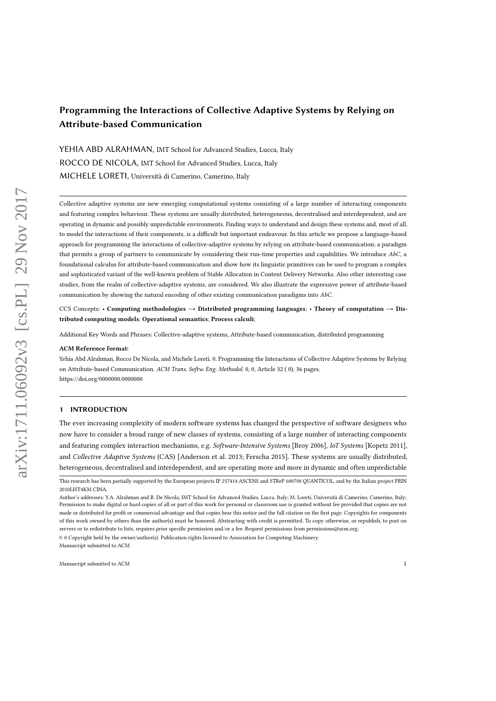## Programming the Interactions of Collective Adaptive Systems by Relying on Attribute-based Communication

YEHIA ABD ALRAHMAN, IMT School for Advanced Studies, Lucca, Italy ROCCO DE NICOLA, IMT School for Advanced Studies, Lucca, Italy MICHELE LORETI, Università di Camerino, Camerino, Italy

Collective adaptive systems are new emerging computational systems consisting of a large number of interacting components and featuring complex behaviour. These systems are usually distributed, heterogeneous, decentralised and interdependent, and are operating in dynamic and possibly unpredictable environments. Finding ways to understand and design these systems and, most of all, to model the interactions of their components, is a difficult but important endeavour. In this article we propose a language-based approach for programming the interactions of collective-adaptive systems by relying on attribute-based communication; a paradigm that permits a group of partners to communicate by considering their run-time properties and capabilities. We introduce  $AbC$ , a foundational calculus for attribute-based communication and show how its linguistic primitives can be used to program a complex and sophisticated variant of the well-known problem of Stable Allocation in Content Delivery Networks. Also other interesting case studies, from the realm of collective-adaptive systems, are considered. We also illustrate the expressive power of attribute-based communication by showing the natural encoding of other existing communication paradigms into AbC.

CCS Concepts: • Computing methodologies  $\rightarrow$  Distributed programming languages; • Theory of computation  $\rightarrow$  Distributed computing models; Operational semantics; Process calculi;

Additional Key Words and Phrases: Collective-adaptive systems, Attribute-based communication, distributed programming

#### ACM Reference format:

Yehia Abd Alrahman, Rocco De Nicola, and Michele Loreti. 0. Programming the Interactions of Collective Adaptive Systems by Relying on Attribute-based Communication. ACM Trans. Softw. Eng. Methodol. 0, 0, Article 32 ( 0), 36 pages. https://doi.org/0000000.0000000

#### 1 INTRODUCTION

The ever increasing complexity of modern software systems has changed the perspective of software designers who now have to consider a broad range of new classes of systems, consisting of a large number of interacting components and featuring complex interaction mechanisms, e.g. Software-Intensive Systems [Broy 2006], IoT Systems [Kopetz 2011], and Collective Adaptive Systems (CAS) [Anderson et al. 2013; Ferscha 2015]. These systems are usually distributed, heterogeneous, decentralised and interdependent, and are operating more and more in dynamic and often unpredictable

Manuscript submitted to ACM

This research has been partially supported by the European projects IP 257414 ASCENS and STReP 600708 QUANTICOL, and by the Italian project PRIN 2010LHT4KM CINA.

Author's addresses: Y.A. Alrahman and R. De Nicola, IMT School for Advanced Studies, Lucca, Italy; M. Loreti, Università di Camerino, Camerino, Italy; Permission to make digital or hard copies of all or part of this work for personal or classroom use is granted without fee provided that copies are not made or distributed for profit or commercial advantage and that copies bear this notice and the full citation on the first page. Copyrights for components of this work owned by others than the author(s) must be honored. Abstracting with credit is permitted. To copy otherwise, or republish, to post on servers or to redistribute to lists, requires prior specific permission and/or a fee. Request permissions from permissions  $\omega$  and © 0 Copyright held by the owner/author(s). Publication rights licensed to Association for Computing Machinery.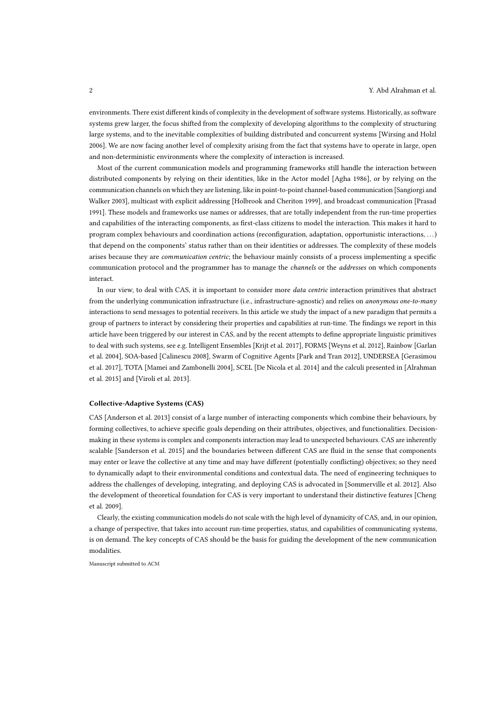environments. There exist different kinds of complexity in the development of software systems. Historically, as software systems grew larger, the focus shifted from the complexity of developing algorithms to the complexity of structuring large systems, and to the inevitable complexities of building distributed and concurrent systems [Wirsing and Holzl 2006]. We are now facing another level of complexity arising from the fact that systems have to operate in large, open and non-deterministic environments where the complexity of interaction is increased.

Most of the current communication models and programming frameworks still handle the interaction between distributed components by relying on their identities, like in the Actor model [Agha 1986], or by relying on the communication channels on which they are listening, like in point-to-point channel-based communication [Sangiorgi and Walker 2003], multicast with explicit addressing [Holbrook and Cheriton 1999], and broadcast communication [Prasad 1991]. These models and frameworks use names or addresses, that are totally independent from the run-time properties and capabilities of the interacting components, as first-class citizens to model the interaction. This makes it hard to program complex behaviours and coordination actions (reconfiguration, adaptation, opportunistic interactions, ...) that depend on the components' status rather than on their identities or addresses. The complexity of these models arises because they are communication centric; the behaviour mainly consists of a process implementing a specific communication protocol and the programmer has to manage the channels or the addresses on which components interact.

In our view, to deal with CAS, it is important to consider more *data centric* interaction primitives that abstract from the underlying communication infrastructure (i.e., infrastructure-agnostic) and relies on anonymous one-to-many interactions to send messages to potential receivers. In this article we study the impact of a new paradigm that permits a group of partners to interact by considering their properties and capabilities at run-time. The findings we report in this article have been triggered by our interest in CAS, and by the recent attempts to define appropriate linguistic primitives to deal with such systems, see e.g. Intelligent Ensembles [Krijt et al. 2017], FORMS [Weyns et al. 2012], Rainbow [Garlan et al. 2004], SOA-based [Calinescu 2008], Swarm of Cognitive Agents [Park and Tran 2012], UNDERSEA [Gerasimou et al. 2017], TOTA [Mamei and Zambonelli 2004], SCEL [De Nicola et al. 2014] and the calculi presented in [Alrahman et al. 2015] and [Viroli et al. 2013].

#### Collective-Adaptive Systems (CAS)

CAS [Anderson et al. 2013] consist of a large number of interacting components which combine their behaviours, by forming collectives, to achieve specific goals depending on their attributes, objectives, and functionalities. Decisionmaking in these systems is complex and components interaction may lead to unexpected behaviours. CAS are inherently scalable [Sanderson et al. 2015] and the boundaries between different CAS are fluid in the sense that components may enter or leave the collective at any time and may have different (potentially conflicting) objectives; so they need to dynamically adapt to their environmental conditions and contextual data. The need of engineering techniques to address the challenges of developing, integrating, and deploying CAS is advocated in [Sommerville et al. 2012]. Also the development of theoretical foundation for CAS is very important to understand their distinctive features [Cheng et al. 2009].

Clearly, the existing communication models do not scale with the high level of dynamicity of CAS, and, in our opinion, a change of perspective, that takes into account run-time properties, status, and capabilities of communicating systems, is on demand. The key concepts of CAS should be the basis for guiding the development of the new communication modalities.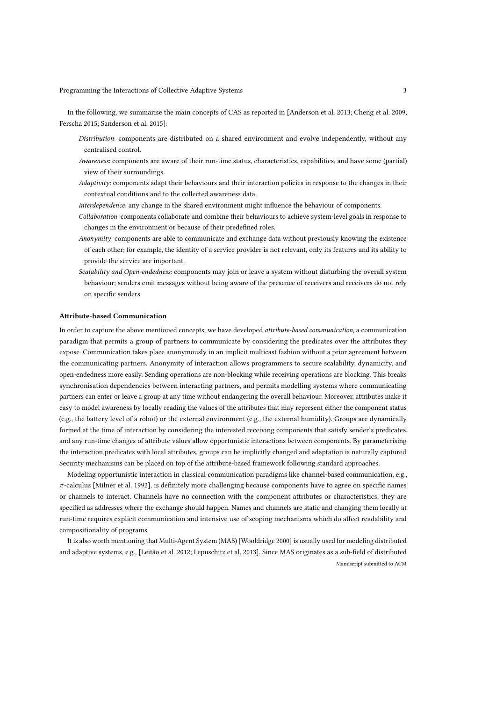In the following, we summarise the main concepts of CAS as reported in [Anderson et al. 2013; Cheng et al. 2009; Ferscha 2015; Sanderson et al. 2015]:

- Distribution: components are distributed on a shared environment and evolve independently, without any centralised control.
- Awareness: components are aware of their run-time status, characteristics, capabilities, and have some (partial) view of their surroundings.
- Adaptivity: components adapt their behaviours and their interaction policies in response to the changes in their contextual conditions and to the collected awareness data.
- Interdependence: any change in the shared environment might influence the behaviour of components.
- Collaboration: components collaborate and combine their behaviours to achieve system-level goals in response to changes in the environment or because of their predefined roles.
- Anonymity: components are able to communicate and exchange data without previously knowing the existence of each other; for example, the identity of a service provider is not relevant, only its features and its ability to provide the service are important.
- Scalability and Open-endedness: components may join or leave a system without disturbing the overall system behaviour; senders emit messages without being aware of the presence of receivers and receivers do not rely on specific senders.

#### Attribute-based Communication

In order to capture the above mentioned concepts, we have developed attribute-based communication, a communication paradigm that permits a group of partners to communicate by considering the predicates over the attributes they expose. Communication takes place anonymously in an implicit multicast fashion without a prior agreement between the communicating partners. Anonymity of interaction allows programmers to secure scalability, dynamicity, and open-endedness more easily. Sending operations are non-blocking while receiving operations are blocking. This breaks synchronisation dependencies between interacting partners, and permits modelling systems where communicating partners can enter or leave a group at any time without endangering the overall behaviour. Moreover, attributes make it easy to model awareness by locally reading the values of the attributes that may represent either the component status (e.g., the battery level of a robot) or the external environment (e.g., the external humidity). Groups are dynamically formed at the time of interaction by considering the interested receiving components that satisfy sender's predicates, and any run-time changes of attribute values allow opportunistic interactions between components. By parameterising the interaction predicates with local attributes, groups can be implicitly changed and adaptation is naturally captured. Security mechanisms can be placed on top of the attribute-based framework following standard approaches.

Modeling opportunistic interaction in classical communication paradigms like channel-based communication, e.g.,  $\pi$ -calculus [Milner et al. 1992], is definitely more challenging because components have to agree on specific names or channels to interact. Channels have no connection with the component attributes or characteristics; they are specified as addresses where the exchange should happen. Names and channels are static and changing them locally at run-time requires explicit communication and intensive use of scoping mechanisms which do affect readability and compositionality of programs.

It is also worth mentioning that Multi-Agent System (MAS) [Wooldridge 2000] is usually used for modeling distributed and adaptive systems, e.g., [Leitão et al. 2012; Lepuschitz et al. 2013]. Since MAS originates as a sub-field of distributed Manuscript submitted to ACM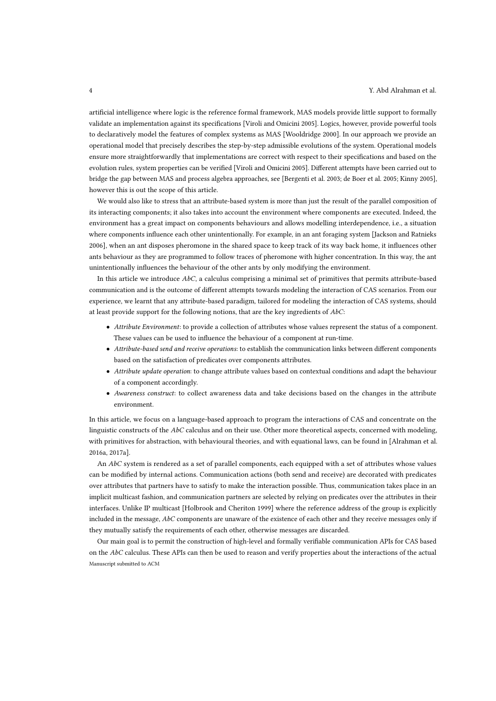artificial intelligence where logic is the reference formal framework, MAS models provide little support to formally validate an implementation against its specifications [Viroli and Omicini 2005]. Logics, however, provide powerful tools to declaratively model the features of complex systems as MAS [Wooldridge 2000]. In our approach we provide an operational model that precisely describes the step-by-step admissible evolutions of the system. Operational models ensure more straightforwardly that implementations are correct with respect to their specifications and based on the evolution rules, system properties can be verified [Viroli and Omicini 2005]. Different attempts have been carried out to bridge the gap between MAS and process algebra approaches, see [Bergenti et al. 2003; de Boer et al. 2005; Kinny 2005], however this is out the scope of this article.

We would also like to stress that an attribute-based system is more than just the result of the parallel composition of its interacting components; it also takes into account the environment where components are executed. Indeed, the environment has a great impact on components behaviours and allows modelling interdependence, i.e., a situation where components influence each other unintentionally. For example, in an ant foraging system [Jackson and Ratnieks 2006], when an ant disposes pheromone in the shared space to keep track of its way back home, it influences other ants behaviour as they are programmed to follow traces of pheromone with higher concentration. In this way, the ant unintentionally influences the behaviour of the other ants by only modifying the environment.

In this article we introduce AbC, a calculus comprising a minimal set of primitives that permits attribute-based communication and is the outcome of different attempts towards modeling the interaction of CAS scenarios. From our experience, we learnt that any attribute-based paradigm, tailored for modeling the interaction of CAS systems, should at least provide support for the following notions, that are the key ingredients of  $AbC$ :

- Attribute Environment: to provide a collection of attributes whose values represent the status of a component. These values can be used to influence the behaviour of a component at run-time.
- Attribute-based send and receive operations: to establish the communication links between different components based on the satisfaction of predicates over components attributes.
- Attribute update operation: to change attribute values based on contextual conditions and adapt the behaviour of a component accordingly.
- Awareness construct: to collect awareness data and take decisions based on the changes in the attribute environment.

In this article, we focus on a language-based approach to program the interactions of CAS and concentrate on the linguistic constructs of the  $AbC$  calculus and on their use. Other more theoretical aspects, concerned with modeling, with primitives for abstraction, with behavioural theories, and with equational laws, can be found in [Alrahman et al. 2016a, 2017a].

An AbC system is rendered as a set of parallel components, each equipped with a set of attributes whose values can be modified by internal actions. Communication actions (both send and receive) are decorated with predicates over attributes that partners have to satisfy to make the interaction possible. Thus, communication takes place in an implicit multicast fashion, and communication partners are selected by relying on predicates over the attributes in their interfaces. Unlike IP multicast [Holbrook and Cheriton 1999] where the reference address of the group is explicitly included in the message,  $AbC$  components are unaware of the existence of each other and they receive messages only if they mutually satisfy the requirements of each other, otherwise messages are discarded.

Our main goal is to permit the construction of high-level and formally verifiable communication APIs for CAS based on the AbC calculus. These APIs can then be used to reason and verify properties about the interactions of the actual Manuscript submitted to ACM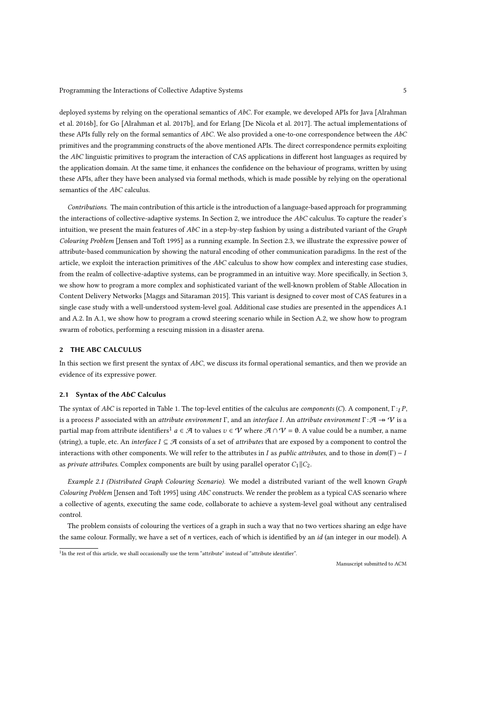deployed systems by relying on the operational semantics of AbC. For example, we developed APIs for Java [Alrahman et al. 2016b], for Go [Alrahman et al. 2017b], and for Erlang [De Nicola et al. 2017]. The actual implementations of these APIs fully rely on the formal semantics of  $AbC$ . We also provided a one-to-one correspondence between the  $AbC$ primitives and the programming constructs of the above mentioned APIs. The direct correspondence permits exploiting the  $AbC$  linguistic primitives to program the interaction of CAS applications in different host languages as required by the application domain. At the same time, it enhances the confidence on the behaviour of programs, written by using these APIs, after they have been analysed via formal methods, which is made possible by relying on the operational semantics of the AbC calculus.

Contributions. The main contribution of this article is the introduction of a language-based approach for programming the interactions of collective-adaptive systems. In Section 2, we introduce the AbC calculus. To capture the reader's intuition, we present the main features of AbC in a step-by-step fashion by using a distributed variant of the Graph Colouring Problem [Jensen and Toft 1995] as a running example. In Section 2.3, we illustrate the expressive power of attribute-based communication by showing the natural encoding of other communication paradigms. In the rest of the article, we exploit the interaction primitives of the  $AbC$  calculus to show how complex and interesting case studies, from the realm of collective-adaptive systems, can be programmed in an intuitive way. More specifically, in Section 3, we show how to program a more complex and sophisticated variant of the well-known problem of Stable Allocation in Content Delivery Networks [Maggs and Sitaraman 2015]. This variant is designed to cover most of CAS features in a single case study with a well-understood system-level goal. Additional case studies are presented in the appendices A.1 and A.2. In A.1, we show how to program a crowd steering scenario while in Section A.2, we show how to program swarm of robotics, performing a rescuing mission in a disaster arena.

## 2 THE ABC CALCULUS

In this section we first present the syntax of  $AbC$ , we discuss its formal operational semantics, and then we provide an evidence of its expressive power.

#### 2.1 Syntax of the AbC Calculus

The syntax of AbC is reported in Table 1. The top-level entities of the calculus are *components* (C). A component,  $\Gamma : I$ . is a process P associated with an attribute environment  $\Gamma$ , and an interface I. An attribute environment  $\Gamma : \mathcal{A} \to \mathcal{V}$  is a partial map from attribute identifiers<sup>1</sup>  $a \in \mathcal{A}$  to values  $v \in \mathcal{V}$  where  $\mathcal{A} \cap \mathcal{V} = \emptyset$ . A value could be a number, a name (string), a tuple, etc. An interface  $I \subseteq \mathcal{A}$  consists of a set of attributes that are exposed by a component to control the interactions with other components. We will refer to the attributes in I as *public attributes*, and to those in  $dom(\Gamma) - I$ as *private attributes*. Complex components are built by using parallel operator  $C_1 || C_2$ .

Example 2.1 (Distributed Graph Colouring Scenario). We model a distributed variant of the well known Graph Colouring Problem [Jensen and Toft 1995] using  $AbC$  constructs. We render the problem as a typical CAS scenario where a collective of agents, executing the same code, collaborate to achieve a system-level goal without any centralised control.

The problem consists of colouring the vertices of a graph in such a way that no two vertices sharing an edge have the same colour. Formally, we have a set of *n* vertices, each of which is identified by an  $id$  (an integer in our model). A

<sup>&</sup>lt;sup>1</sup>In the rest of this article, we shall occasionally use the term "attribute" instead of "attribute identifier".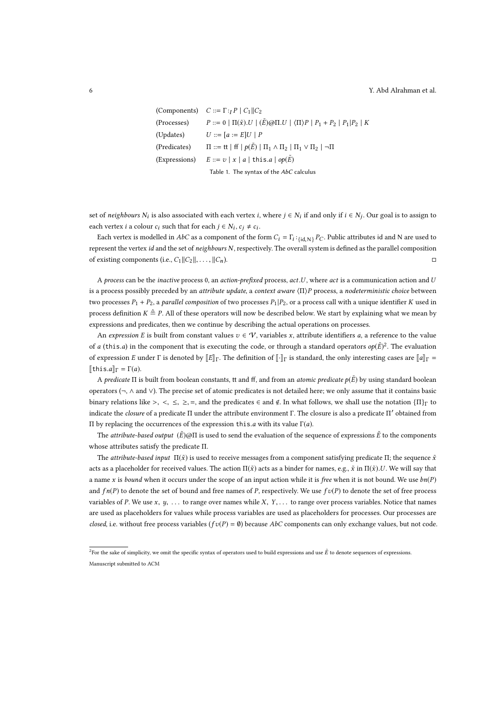```
(Components) C ::= \Gamma : \Gamma P \mid C_1 || C_2(Processes) P ::= 0 | \Pi(\tilde{x}) \cup | (\tilde{E}) \otimes \Pi \cup | (\Pi)P | P_1 + P_2 | P_1 | P_2 | K(Updates) U ::= [a := E]U | P(Predicates) \Pi ::= \text{tt} \mid \text{ff} \mid p(\tilde{E}) \mid \Pi_1 \wedge \Pi_2 \mid \Pi_1 \vee \Pi_2 \mid \neg \Pi(Expressions) E ::= v | x | a | \text{this.} a | op(\tilde{E})Table 1. The syntax of the AbC calculus
```
set of neighbours  $N_i$  is also associated with each vertex *i*, where  $j \in N_i$  if and only if  $i \in N_j$ . Our goal is to assign to each vertex *i* a colour  $c_i$  such that for each  $j \in N_i$ ,  $c_j \neq c_i$ .

Each vertex is modelled in AbC as a component of the form  $C_i = \Gamma_i :_{\{id, N\}} P_C$ . Public attributes id and N are used to represent the vertex id and the set of neighbours N, respectively. The overall system is defined as the parallel composition of existing components (i.e.,  $C_1 || C_2 ||$ , ...,  $|| C_n$ ). □

A process can be the *inactive* process 0, an *action-prefixed* process, *act.U*, where *act* is a communication action and U is a process possibly preceded by an attribute update, a context aware  $\langle \Pi \rangle P$  process, a nodeterministic choice between two processes  $P_1 + P_2$ , a parallel composition of two processes  $P_1 | P_2$ , or a process call with a unique identifier K used in process definition  $K \triangleq P$ . All of these operators will now be described below. We start by explaining what we mean by expressions and predicates, then we continue by describing the actual operations on processes.

An expression E is built from constant values  $v \in V$ , variables x, attribute identifiers a, a reference to the value of a (this.a) in the component that is executing the code, or through a standard operators  $op(\tilde{E})^2$ . The evaluation of expression E under Γ is denoted by  $[[E]]_T$ . The definition of  $[[\cdot]]_T$  is standard, the only interesting cases are  $[[a]]_T =$  $[\![$ this.a $]\!]_{\Gamma} = \Gamma(a)$ .

A predicate  $\Pi$  is built from boolean constants, tt and ff, and from an *atomic predicate*  $p(E)$  by using standard boolean operators (¬, ∧ and ∨). The precise set of atomic predicates is not detailed here; we only assume that it contains basic binary relations like >, <,  $\leq$ ,  $\geq$ , =, and the predicates  $\in$  and  $\notin$ . In what follows, we shall use the notation  $\{\Pi\}_{\Gamma}$  to indicate the closure of a predicate Π under the attribute environment Γ. The closure is also a predicate Π' obtained from Π by replacing the occurrences of the expression this.a with its value Γ(a).

The attribute-based output  $(E)$ @Π is used to send the evaluation of the sequence of expressions  $\tilde{E}$  to the components whose attributes satisfy the predicate Π.

The *attribute-based input*  $\Pi(\tilde{x})$  is used to receive messages from a component satisfying predicate  $\Pi$ ; the sequence  $\tilde{x}$ acts as a placeholder for received values. The action  $\Pi(\tilde{x})$  acts as a binder for names, e.g.,  $\tilde{x}$  in  $\Pi(\tilde{x})$ .U. We will say that a name x is bound when it occurs under the scope of an input action while it is free when it is not bound. We use  $bn(P)$ and  $fn(P)$  to denote the set of bound and free names of P, respectively. We use  $fv(P)$  to denote the set of free process variables of P. We use x,  $y$ , ... to range over names while X,  $Y$ ,... to range over process variables. Notice that names are used as placeholders for values while process variables are used as placeholders for processes. Our processes are closed, i.e. without free process variables ( $f v(P) = \emptyset$ ) because AbC components can only exchange values, but not code.

 $^2$ For the sake of simplicity, we omit the specific syntax of operators used to build expressions and use  $\tilde{E}$  to denote sequences of expressions. Manuscript submitted to ACM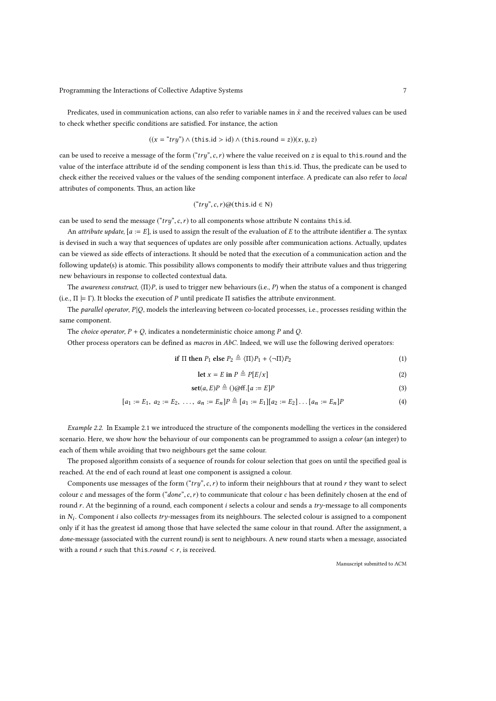Predicates, used in communication actions, can also refer to variable names in  $\tilde{x}$  and the received values can be used to check whether specific conditions are satisfied. For instance, the action

$$
((x = "try") \land (this.id > id) \land (this-round = z))(x, y, z)
$$

can be used to receive a message of the form  $("try", c, r)$  where the value received on z is equal to this.round and the value of the interface attribute id of the sending component is less than this.id. Thus, the predicate can be used to check either the received values or the values of the sending component interface. A predicate can also refer to local attributes of components. Thus, an action like

$$
("try", c, r)@(\text{this.id} \in \mathsf{N})
$$

can be used to send the message ("try", c, r) to all components whose attribute N contains this.id.

An attribute update,  $[a := E]$ , is used to assign the result of the evaluation of E to the attribute identifier a. The syntax is devised in such a way that sequences of updates are only possible after communication actions. Actually, updates can be viewed as side effects of interactions. It should be noted that the execution of a communication action and the following update(s) is atomic. This possibility allows components to modify their attribute values and thus triggering new behaviours in response to collected contextual data.

The awareness construct,  $\langle \Pi \rangle P$ , is used to trigger new behaviours (i.e., P) when the status of a component is changed (i.e.,  $\Pi \models \Gamma$ ). It blocks the execution of P until predicate  $\Pi$  satisfies the attribute environment.

The parallel operator,  $P|Q$ , models the interleaving between co-located processes, i.e., processes residing within the same component.

The *choice operator*,  $P + Q$ , indicates a nondeterministic choice among P and Q.

Other process operators can be defined as *macros* in  $AbC$ . Indeed, we will use the following derived operators:

if 
$$
\Pi
$$
 then  $P_1$  else  $P_2 \triangleq \langle \Pi \rangle P_1 + \langle \neg \Pi \rangle P_2$  (1)

$$
\text{let } x = E \text{ in } P \triangleq P[E/x] \tag{2}
$$

$$
set(a, E)P \triangleq ()@ff.[a := E]P
$$
\n(3)

$$
[a_1 := E_1, a_2 := E_2, \ldots, a_n := E_n]P \triangleq [a_1 := E_1][a_2 := E_2] \ldots [a_n := E_n]P
$$
\n(4)

Example 2.2. In Example 2.1 we introduced the structure of the components modelling the vertices in the considered scenario. Here, we show how the behaviour of our components can be programmed to assign a colour (an integer) to each of them while avoiding that two neighbours get the same colour.

The proposed algorithm consists of a sequence of rounds for colour selection that goes on until the specified goal is reached. At the end of each round at least one component is assigned a colour.

Components use messages of the form ("try", c, r) to inform their neighbours that at round r they want to select colour c and messages of the form ("done", c, r) to communicate that colour c has been definitely chosen at the end of round r. At the beginning of a round, each component  $i$  selects a colour and sends a try-message to all components in  $N_i$ . Component i also collects try-messages from its neighbours. The selected colour is assigned to a component only if it has the greatest id among those that have selected the same colour in that round. After the assignment, a done-message (associated with the current round) is sent to neighbours. A new round starts when a message, associated with a round r such that this.round  $\lt r$ , is received.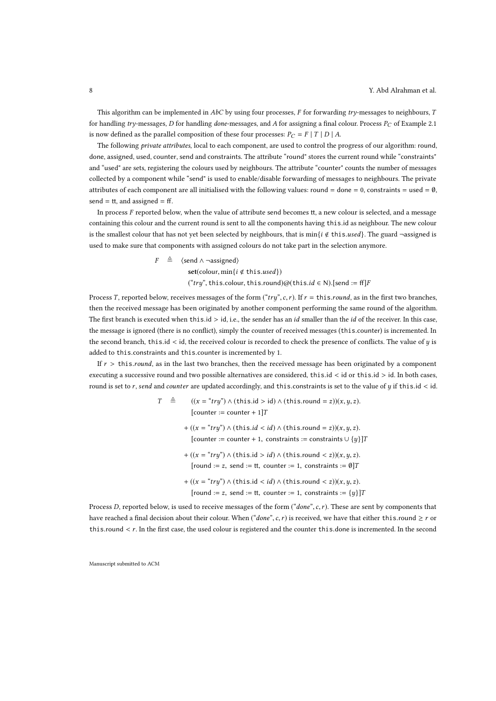This algorithm can be implemented in  $AbC$  by using four processes, F for forwarding try-messages to neighbours, T for handling try-messages, D for handling done-messages, and A for assigning a final colour. Process  $P_C$  of Example 2.1 is now defined as the parallel composition of these four processes:  $P_C = F | T | D | A$ .

The following private attributes, local to each component, are used to control the progress of our algorithm: round, done, assigned, used, counter, send and constraints. The attribute "round" stores the current round while "constraints" and "used" are sets, registering the colours used by neighbours. The attribute "counter" counts the number of messages collected by a component while "send" is used to enable/disable forwarding of messages to neighbours. The private attributes of each component are all initialised with the following values: round = done = 0, constraints = used =  $\emptyset$ , send =  $tt$ , and assigned = ff.

In process  $F$  reported below, when the value of attribute send becomes tt, a new colour is selected, and a message containing this colour and the current round is sent to all the components having this.id as neighbour. The new colour is the smallest colour that has not yet been selected by neighbours, that is min{i  $\notin$  this.used}. The guard -assigned is used to make sure that components with assigned colours do not take part in the selection anymore.

> $F \triangleq \langle \text{send} \land \neg \text{assigned} \rangle$  $set(colour, min\{i \notin this, used\})$ ("try", this.colour, this.round)@(this.id  $\in N$ ).[send := ff]F

Process T, reported below, receives messages of the form  $("try", c, r)$ . If  $r = \text{this}, round$ , as in the first two branches, then the received message has been originated by another component performing the same round of the algorithm. The first branch is executed when this.id  $>$  id, i.e., the sender has an id smaller than the id of the receiver. In this case, the message is ignored (there is no conflict), simply the counter of received messages (this.counter) is incremented. In the second branch, this.id < id, the received colour is recorded to check the presence of conflicts. The value of y is added to this.constraints and this.counter is incremented by 1.

If  $r >$  this.*round*, as in the last two branches, then the received message has been originated by a component executing a successive round and two possible alternatives are considered, this.id < id or this.id > id. In both cases, round is set to r, send and counter are updated accordingly, and this.constraints is set to the value of  $y$  if this.id < id.

$$
T \triangleq ((x = "try") \land (this.id > id) \land (this.runud = z))(x, y, z).
$$
  
\n[counter := counter + 1] $T$   
\n+  $((x = "try") \land (this.id < id) \land (this.runud = z))(x, y, z).$   
\n[counter := counter + 1, constraints := constraints  $\cup \{y\}]T$   
\n+  $((x = "try") \land (this.id > id) \land (this.runud < z))(x, y, z).$   
\n[round := z, send := tt, counter := 1, constraints := 0] $T$   
\n+  $((x = "try") \land (this.id < id) \land (this.runud < z))(x, y, z).$   
\n[round := z, send := tt, counter := 1, constraints := {y}]T

Process D, reported below, is used to receive messages of the form  $("done", c, r)$ . These are sent by components that have reached a final decision about their colour. When ("done", c, r) is received, we have that either this.round  $\geq r$  or this.round < r. In the first case, the used colour is registered and the counter this.done is incremented. In the second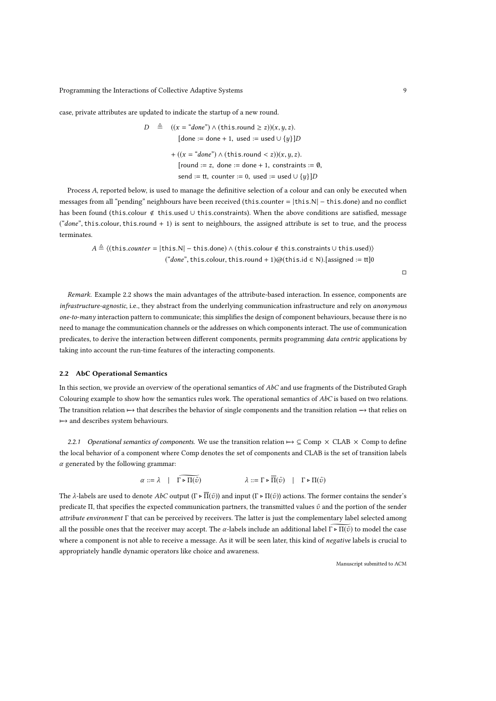case, private attributes are updated to indicate the startup of a new round.

 $D \triangleq ((x = "done") \wedge (this.round \ge z))(x, y, z).$  $[done := done + 1, used := used \cup \{y\}]$ +  $((x = "done") \land (this-round < z))(x, y, z)$ . [round := z, done := done + 1, constraints :=  $\emptyset$ , send := tt, counter := 0, used := used  $\cup \{y\}$ ]D

Process A, reported below, is used to manage the definitive selection of a colour and can only be executed when messages from all "pending" neighbours have been received (this.counter = |this.N| − this.done) and no conflict has been found (this.colour < this.used ∪ this.constraints). When the above conditions are satisfied, message ("done", this.colour, this.round + 1) is sent to neighbours, the assigned attribute is set to true, and the process terminates.

 $A \triangleq \langle$ (this.counter = |this.N| − this.done)  $\land$  (this.colour  $\notin$  this.constraints ∪ this.used)) ("done", this.colour, this.round + 1)@(this.id  $\in$  N). [assigned := tt]0

□

Remark. Example 2.2 shows the main advantages of the attribute-based interaction. In essence, components are infrastructure-agnostic, i.e., they abstract from the underlying communication infrastructure and rely on anonymous one-to-many interaction pattern to communicate; this simplifies the design of component behaviours, because there is no need to manage the communication channels or the addresses on which components interact. The use of communication predicates, to derive the interaction between different components, permits programming data centric applications by taking into account the run-time features of the interacting components.

#### 2.2 AbC Operational Semantics

In this section, we provide an overview of the operational semantics of AbC and use fragments of the Distributed Graph Colouring example to show how the semantics rules work. The operational semantics of AbC is based on two relations. The transition relation 7−→ that describes the behavior of single components and the transition relation −→ that relies on  $\mapsto$  and describes system behaviours.

2.2.1 Operational semantics of components. We use the transition relation  $\rightarrow \subseteq \text{Comp} \times \text{CLAB} \times \text{Comp}$  to define the local behavior of a component where Comp denotes the set of components and CLAB is the set of transition labels  $\alpha$  generated by the following grammar:

$$
\alpha ::= \lambda \quad | \quad \Gamma \triangleright \Pi(\tilde{v}) \qquad \qquad \lambda ::= \Gamma \triangleright \overline{\Pi}(\tilde{v}) \quad | \quad \Gamma \triangleright \Pi(\tilde{v})
$$

The  $\lambda$ -labels are used to denote  $AbC$  output  $(\Gamma \triangleright \overline{\Pi}(\tilde{v}))$  and input  $(\Gamma \triangleright \Pi(\tilde{v}))$  actions. The former contains the sender's predicate Π, that specifies the expected communication partners, the transmitted values  $\tilde{v}$  and the portion of the sender attribute environment Γ that can be perceived by receivers. The latter is just the complementary label selected among all the possible ones that the receiver may accept. The  $\alpha$ -labels include an additional label  $\Gamma \triangleright \Pi(\tilde{v})$  to model the case where a component is not able to receive a message. As it will be seen later, this kind of negative labels is crucial to appropriately handle dynamic operators like choice and awareness.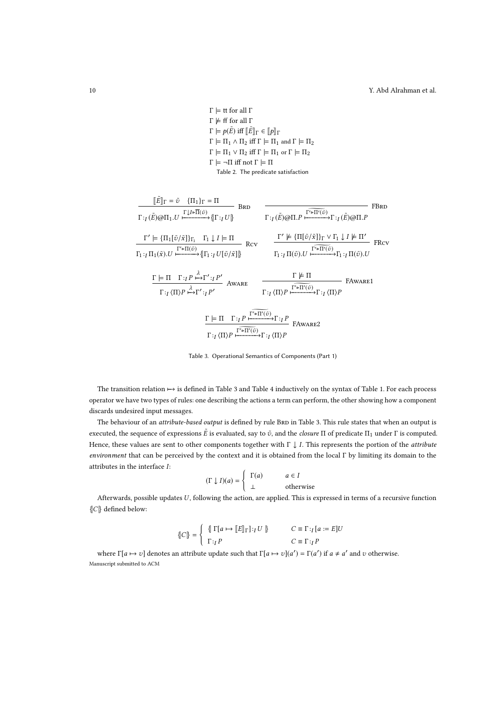$Γ \models$  tt for all Γ  $Γ \not\models ff$  for all  $Γ$  $\Gamma \models p(\tilde{E})$  iff  $\llbracket \tilde{E} \rrbracket_{\Gamma} \in \llbracket p \rrbracket_{\Gamma}$  $\Gamma \models \Pi_1 \wedge \Pi_2$  iff  $\Gamma \models \Pi_1$  and  $\Gamma \models \Pi_2$  $\Gamma \models \Pi_1 \vee \Pi_2$  iff  $\Gamma \models \Pi_1$  or  $\Gamma \models \Pi_2$  $Γ \models \neg Π$  iff not  $Γ \models Π$ Table 2. The predicate satisfaction

$$
\frac{\llbracket \tilde{E} \rrbracket_{\Gamma} = \tilde{v} \{ \Pi_{1} \} _{\Gamma} = \Pi}{\Gamma :_{I} (\tilde{E}) \textcircled{a} \Pi_{1}. U} \xrightarrow{\Gamma I \text{I} \text{F} \Pi (\tilde{v})} \{ \Gamma :_{I} U \} \qquad \text{BRD} \qquad \frac{\Gamma :_{I} (\tilde{E}) \textcircled{a} \Pi . P \xrightarrow{\Gamma \text{F} \Pi' (\tilde{v})} \Gamma :_{I} (\tilde{E}) \textcircled{a} \Pi . P} \text{FBRD}}{\Gamma :_{I} \Pi_{1} (\tilde{x}). U \xrightarrow{\Gamma' \models \Pi (\tilde{v})} \{ \Vert \Gamma_{1}:_{I} U [\tilde{v}/\tilde{x}] \} \} \qquad \text{Rcv} \qquad \frac{\Gamma' \not\models \{ \Pi [\tilde{v}/\tilde{x}] \}_{\Gamma} \vee \Gamma_{1} \downarrow I \not\models \Pi'}{\Gamma_{1}:_{I} \Pi (\tilde{v}). U \xrightarrow{\Gamma \text{F} \Pi' (\tilde{v})} \Gamma :_{I} \Pi (\tilde{v}). U} \text{FRcv}
$$
\n
$$
\frac{\Gamma \models \Pi \Gamma :_{I} P \xrightarrow{\lambda} \Gamma' :_{I} P'}{\Gamma :_{I} (\Pi \rangle P \xrightarrow{\lambda} \Gamma' :_{I} P'} \text{AWARE} \qquad \frac{\Gamma \not\models \Pi}{\Gamma :_{I} \langle \Pi \rangle P \xrightarrow{\Gamma' \Rightarrow \Pi' (\tilde{v})} \Gamma :_{I} \langle \Pi \rangle P} \text{FAWARE1}
$$
\n
$$
\frac{\Gamma \models \Pi \Gamma :_{I} P \xrightarrow{\Gamma \text{F} \Pi' (\tilde{v})} \Gamma :_{I} P \xrightarrow{\Gamma' \Rightarrow \Pi' (\tilde{v})} \Gamma :_{I} \langle \Pi \rangle P}{\Gamma :_{I} \langle \Pi \rangle P \xrightarrow{\Gamma' \Rightarrow \Pi' (\tilde{v})} \Gamma :_{I} P} \text{FAWARE2}
$$
\n
$$
\frac{\Gamma :_{I} \Pi \Gamma :_{I} P \xrightarrow{\Gamma \text{F} \Pi' (\tilde{v})} \Gamma :_{I} P}{\Gamma :_{I} \langle \Pi \rangle P \xrightarrow{\Gamma' \Rightarrow \Pi' (\tilde{v})} \Gamma :_{I} \langle \Pi \rangle P} \text{FAWARE2}
$$

Table 3. Operational Semantics of Components (Part 1)

The transition relation 7−→ is defined in Table 3 and Table 4 inductively on the syntax of Table 1. For each process operator we have two types of rules: one describing the actions a term can perform, the other showing how a component discards undesired input messages.

The behaviour of an *attribute-based output* is defined by rule BRD in Table 3. This rule states that when an output is executed, the sequence of expressions  $\tilde E$  is evaluated, say to  $\tilde v$ , and the *closure* Π of predicate Π<sub>1</sub> under Γ is computed. Hence, these values are sent to other components together with  $\Gamma \downarrow I$ . This represents the portion of the *attribute* environment that can be perceived by the context and it is obtained from the local Γ by limiting its domain to the attributes in the interface I:

$$
(\Gamma \downarrow I)(a) = \begin{cases} \Gamma(a) & a \in I \\ \perp & \text{otherwise} \end{cases}
$$

Afterwards, possible updates  $U$ , following the action, are applied. This is expressed in terms of a recursive function {|C|} defined below:

$$
\left\{ C \right\} = \left\{ \begin{array}{ll} \left\{ \begin{array}{l l} \Gamma[a \mapsto \llbracket E \rrbracket_\Gamma \rrbracket :_I U \rrbracket \right. & \quad \quad & C \equiv \Gamma :_I [a := E] U \\ \Gamma :_I P & \quad \quad & C \equiv \Gamma :_I P \end{array} \right. \end{array} \right.
$$

where  $\Gamma[a \mapsto v]$  denotes an attribute update such that  $\Gamma[a \mapsto v](a') = \Gamma(a')$  if  $a \neq a'$  and v otherwise. Manuscript submitted to ACM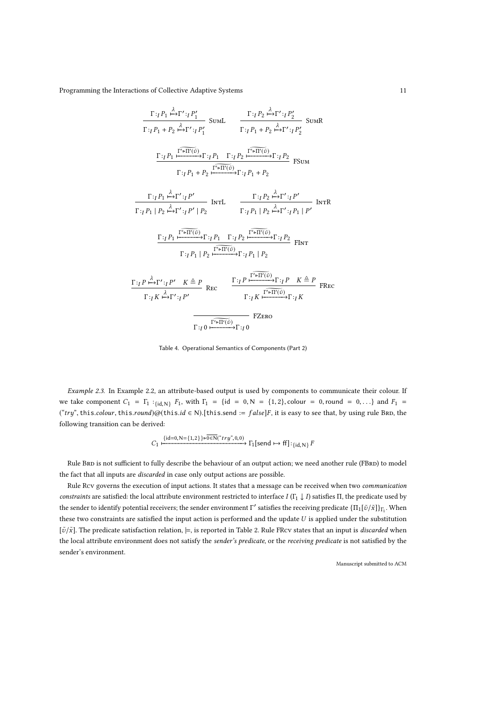$$
\frac{\Gamma:_{I}P_{1} \stackrel{\lambda}{\mapsto} \Gamma':_{I}P'_{1}}{\Gamma:_{I}P_{1} + P_{2} \stackrel{\lambda}{\mapsto} \Gamma':_{I}P'_{1}} \quad \text{SumL} \quad \frac{\Gamma:_{I}P_{2} \stackrel{\lambda}{\mapsto} \Gamma':_{I}P'_{2}}{\Gamma:_{I}P_{1} + P_{2} \stackrel{\lambda}{\mapsto} \Gamma':_{I}P'_{2}} \quad \text{SumR}
$$
\n
$$
\frac{\Gamma:_{I}P_{1} \stackrel{\Gamma' \triangleright \Pi'(\tilde{v})}{\longrightarrow} \Gamma:_{I}P_{1} \quad \Gamma:_{I}P_{2} \stackrel{\Gamma' \triangleright \Pi'(\tilde{v})}{\longrightarrow} \Gamma:_{I}P_{2}}{\Gamma:_{I}P_{1} + P_{2} \stackrel{\lambda}{\longmapsto} \Gamma':_{I}P' \quad \text{From} \quad \frac{\Gamma:_{I}P_{1} \stackrel{\lambda}{\mapsto} \Gamma':_{I}P'}{\Gamma:_{I}P_{1} + P_{2}} \quad \text{InrL} \quad \frac{\Gamma:_{I}P_{2} \stackrel{\lambda}{\mapsto} \Gamma':_{I}P'}{\Gamma:_{I}P_{1} + P_{2} \stackrel{\lambda}{\mapsto} \Gamma':_{I}P' \quad \text{InrR}}
$$
\n
$$
\frac{\Gamma:_{I}P_{1} \stackrel{\lambda}{\mapsto} \Gamma':_{I}P' \mid P_{2}}{\Gamma:_{I}P_{1} + P_{2} \stackrel{\Gamma' \triangleright \Pi'(\tilde{v})}{\longrightarrow} \Gamma:_{I}P_{1} \mid P_{2} \stackrel{\lambda}{\mapsto} \Gamma':_{I}P_{1} \mid P' \quad \text{InrR}}}{\Gamma:_{I}P_{1} + P_{2} \stackrel{\Gamma' \triangleright \Pi'(\tilde{v})}{\longrightarrow} \Gamma:_{I}P_{1} \mid P_{2}}
$$
\n
$$
\frac{\Gamma:_{I}P \stackrel{\lambda}{\mapsto} \Gamma':_{I}P' \quad K \triangleq P}{\Gamma:_{I}P_{1} + P_{2} \stackrel{\Gamma' \triangleright \Pi'(\tilde{v})}{\longrightarrow} \Gamma:_{I}P_{1} \mid P_{2}}
$$
\n
$$
\frac{\Gamma:_{I}P \stackrel{\lambda}{\mapsto} \Gamma':_{I}P' \quad K \triangleq P}{\Gamma:_{I}P
$$

Table 4. Operational Semantics of Components (Part 2)

Example 2.3. In Example 2.2, an attribute-based output is used by components to communicate their colour. If we take component  $C_1 = \Gamma_1 :_{\{id, N\}} F_1$ , with  $\Gamma_1 = \{id = 0, N = \{1, 2\}$ , colour = 0, round = 0, ...} and  $F_1$  = ("try", this.colour, this.round)@(this.id  $\in N$ ).[this.send := false]F, it is easy to see that, by using rule BRD, the following transition can be derived:

$$
C_1 \xrightarrow{\{\text{id}=0,\text{N}=\{1,2\}\}\text{P0}\in\text{N}("try",0,0)} \Gamma_1[\text{send}\mapsto\text{ff}]:_{\{\text{id},\text{N}\}}F
$$

Rule BRD is not sufficient to fully describe the behaviour of an output action; we need another rule (FBRD) to model the fact that all inputs are discarded in case only output actions are possible.

Rule Rcv governs the execution of input actions. It states that a message can be received when two communication constraints are satisfied: the local attribute environment restricted to interface I (Γ<sub>1</sub>  $\downarrow$  I) satisfies Π, the predicate used by the sender to identify potential receivers; the sender environment Γ΄ satisfies the receiving predicate  $\{\Pi_1[\tilde{v}/\tilde{x}]\}_{\Gamma_1}$ . When these two constraints are satisfied the input action is performed and the update  $U$  is applied under the substitution  $[\tilde{v}/\tilde{x}]$ . The predicate satisfaction relation,  $\models$ , is reported in Table 2. Rule FRcv states that an input is *discarded* when the local attribute environment does not satisfy the sender's predicate, or the receiving predicate is not satisfied by the sender's environment.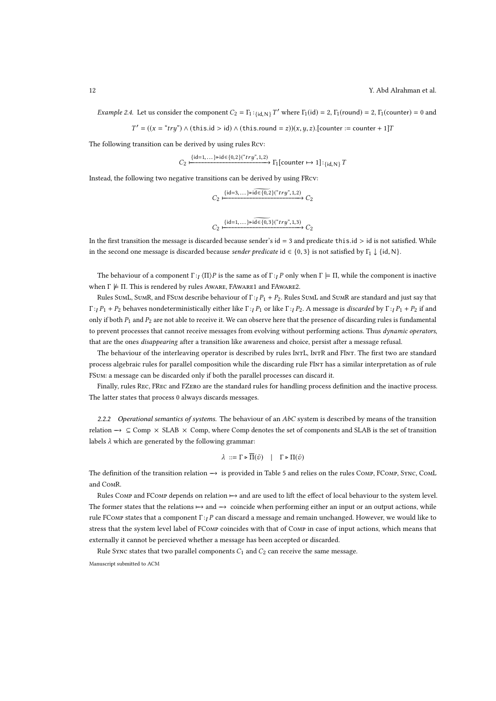Example 2.4. Let us consider the component  $C_2 = \Gamma_1:_{\{id, N\}} T'$  where  $\Gamma_1(id) = 2$ ,  $\Gamma_1(\text{round}) = 2$ ,  $\Gamma_1(\text{counter}) = 0$  and

 $T' = ((x = "try") \land (this.id > id) \land (this.roomd = z))(x, y, z).$ [counter := counter + 1]T

The following transition can be derived by using rules Rcv:

$$
C_2 \xrightarrow{\{\mathrm{id}=1,\dots\} \triangleright \mathrm{id} \in \{0,2\} \xrightarrow{``try",1,2)} \Gamma_1[\mathrm{counter} \mapsto 1] :_{\{\mathrm{id},\mathrm{N}\}} T
$$

Instead, the following two negative transitions can be derived by using FRcv:

$$
C_2 \xrightarrow{\{\mathrm{id}=3,\ldots\} \text{rid} \in \{0,2\} \xrightarrow{``try",1,2\}} C_2
$$

$$
C_2 \xrightarrow{\{id=1,\dots\} \triangleright id \in \{0,3\}({\text{``try''},1,3})} C_2
$$

In the first transition the message is discarded because sender's  $id = 3$  and predicate this.id  $> id$  is not satisfied. While in the second one message is discarded because *sender predicate* id  $\in \{0, 3\}$  is not satisfied by  $\Gamma_1 \downarrow \{id, N\}$ .

The behaviour of a component  $\Gamma : I \setminus \Pi \rangle P$  is the same as of  $\Gamma : I \cap P$  only when  $\Gamma \models \Pi$ , while the component is inactive when  $\Gamma \not\models \Pi$ . This is rendered by rules Aware, FAware1 and FAware2.

Rules SumL, SumR, and FSum describe behaviour of  $\Gamma : I P_1 + P_2$ . Rules SumL and SumR are standard and just say that  $\Gamma$  :  $I$  P<sub>1</sub> + P<sub>2</sub> behaves nondeterministically either like  $\Gamma$  :  $I$  P<sub>1</sub> or like  $\Gamma$  :  $I$  P<sub>2</sub>. A message is discarded by  $\Gamma$  :  $I$  P<sub>1</sub> + P<sub>2</sub> if and only if both  $P_1$  and  $P_2$  are not able to receive it. We can observe here that the presence of discarding rules is fundamental to prevent processes that cannot receive messages from evolving without performing actions. Thus dynamic operators, that are the ones disappearing after a transition like awareness and choice, persist after a message refusal.

The behaviour of the interleaving operator is described by rules IntL, IntR and FInt. The first two are standard process algebraic rules for parallel composition while the discarding rule FInt has a similar interpretation as of rule FSum: a message can be discarded only if both the parallel processes can discard it.

Finally, rules Rec, FRec and FZero are the standard rules for handling process definition and the inactive process. The latter states that process 0 always discards messages.

2.2.2 Operational semantics of systems. The behaviour of an  $AbC$  system is described by means of the transition relation  $\rightarrow \subseteq$  Comp  $\times$  SLAB  $\times$  Comp, where Comp denotes the set of components and SLAB is the set of transition labels  $\lambda$  which are generated by the following grammar:

$$
\lambda \ ::= \Gamma \triangleright \overline{\Pi}(\tilde{v}) \ | \ \Gamma \triangleright \Pi(\tilde{v})
$$

The definition of the transition relation  $→$  is provided in Table 5 and relies on the rules COMP, FCOMP, SYNC, COML and ComR.

Rules Comp and FComp depends on relation  $\mapsto$  and are used to lift the effect of local behaviour to the system level. The former states that the relations  $\mapsto$  and  $\rightarrow$  coincide when performing either an input or an output actions, while rule FComp states that a component  $\Gamma$ :<sub>I</sub> P can discard a message and remain unchanged. However, we would like to stress that the system level label of FComp coincides with that of Comp in case of input actions, which means that externally it cannot be percieved whether a message has been accepted or discarded.

Rule Sync states that two parallel components  $C_1$  and  $C_2$  can receive the same message.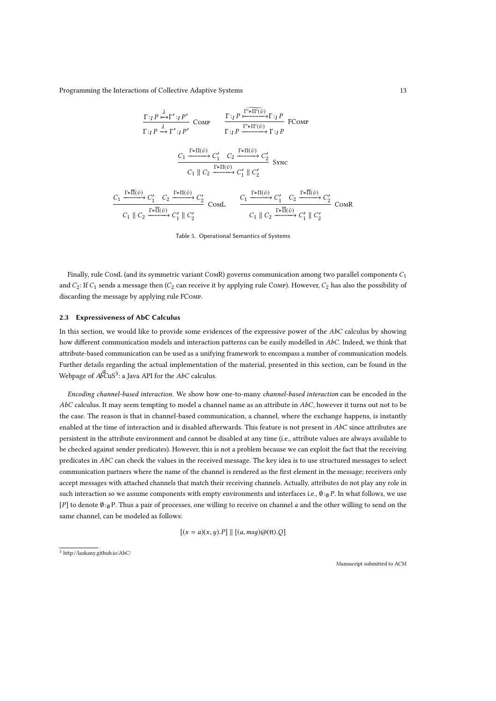$$
\frac{\Gamma:_{I}P \xrightarrow{\lambda} \Gamma':_{I}P'}{\Gamma:_{I}P \xrightarrow{\lambda} \Gamma':_{I}P'} \text{COMP} \qquad \frac{\Gamma:_{I}P \xrightarrow{\Gamma' \rightharpoonup \Pi'(\tilde{v})} \Gamma:_{I}P}{\Gamma:_{I}P \xrightarrow{\Gamma' \rightharpoonup \Pi'(\tilde{v})} \Gamma:_{I}P} \text{FCOMP}
$$
\n
$$
\xrightarrow{C_{1}} \frac{C_{1} \xrightarrow{\Gamma \rightharpoonup \Pi(\tilde{v})} C'_{1} \quad C_{2} \xrightarrow{\Gamma \rightharpoonup \Pi(\tilde{v})} C'_{2}}{C_{1} \parallel C_{2} \xrightarrow{\Gamma \rightharpoonup \Pi(\tilde{v})} C'_{2}} \text{SYNC}
$$
\n
$$
\xrightarrow{C_{1}} \frac{\Gamma \rightharpoonup \Pi(\tilde{v})}{C_{1} \parallel C_{2} \xrightarrow{\Gamma \rightharpoonup \Pi(\tilde{v})} C'_{2}} \text{COML} \qquad \xrightarrow{C_{1}} \frac{\Gamma \rightharpoonup \Pi(\tilde{v})}{C_{1} \parallel C_{2} \xrightarrow{\Gamma \rightharpoonup \Pi(\tilde{v})} C'_{1} \parallel C'_{2}}{C_{1} \parallel C_{2} \xrightarrow{\Gamma \rightharpoonup \Pi(\tilde{v})} C'_{1} \parallel C'_{2}} \text{COMR}
$$

Table 5. Operational Semantics of Systems

Finally, rule ComL (and its symmetric variant COMR) governs communication among two parallel components  $C_1$ and  $C_2$ : If  $C_1$  sends a message then  $(C_2$  can receive it by applying rule COMP). However,  $C_2$  has also the possibility of discarding the message by applying rule FComp.

#### 2.3 Expressiveness of AbC Calculus

In this section, we would like to provide some evidences of the expressive power of the  $AbC$  calculus by showing how different communication models and interaction patterns can be easily modelled in AbC. Indeed, we think that attribute-based communication can be used as a unifying framework to encompass a number of communication models. Further details regarding the actual implementation of the material, presented in this section, can be found in the Webpage of  $AbCuS^3$ : a Java API for the AbC calculus.

Encoding channel-based interaction. We show how one-to-many channel-based interaction can be encoded in the  $AbC$  calculus. It may seem tempting to model a channel name as an attribute in  $AbC$ , however it turns out not to be the case. The reason is that in channel-based communication, a channel, where the exchange happens, is instantly enabled at the time of interaction and is disabled afterwards. This feature is not present in  $AbC$  since attributes are persistent in the attribute environment and cannot be disabled at any time (i.e., attribute values are always available to be checked against sender predicates). However, this is not a problem because we can exploit the fact that the receiving predicates in AbC can check the values in the received message. The key idea is to use structured messages to select communication partners where the name of the channel is rendered as the first element in the message; receivers only accept messages with attached channels that match their receiving channels. Actually, attributes do not play any role in such interaction so we assume components with empty environments and interfaces i.e.,  $\theta :_{0} P$ . In what follows, we use [P] to denote  $\emptyset:_{\emptyset}$  P. Thus a pair of processes, one willing to receive on channel a and the other willing to send on the same channel, can be modeled as follows:

$$
[(x = a)(x, y).P] \parallel [(a, msg)@(\text{tt}).Q]
$$

<sup>3</sup> http://lazkany.github.io/AbC/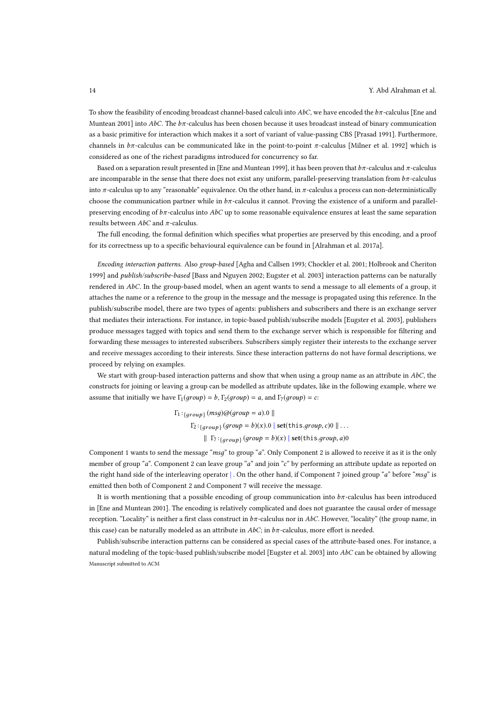To show the feasibility of encoding broadcast channel-based calculi into  $AbC$ , we have encoded the  $b\pi$ -calculus [Ene and Muntean 2001] into  $AbC$ . The  $b\pi$ -calculus has been chosen because it uses broadcast instead of binary communication as a basic primitive for interaction which makes it a sort of variant of value-passing CBS [Prasad 1991]. Furthermore, channels in  $b\pi$ -calculus can be communicated like in the point-to-point  $\pi$ -calculus [Milner et al. 1992] which is considered as one of the richest paradigms introduced for concurrency so far.

Based on a separation result presented in [Ene and Muntean 1999], it has been proven that  $b\pi$ -calculus and  $\pi$ -calculus are incomparable in the sense that there does not exist any uniform, parallel-preserving translation from  $b\pi$ -calculus into  $\pi$ -calculus up to any "reasonable" equivalence. On the other hand, in  $\pi$ -calculus a process can non-deterministically choose the communication partner while in  $b\pi$ -calculus it cannot. Proving the existence of a uniform and parallelpreserving encoding of  $b\pi$ -calculus into AbC up to some reasonable equivalence ensures at least the same separation results between  $AbC$  and  $\pi$ -calculus.

The full encoding, the formal definition which specifies what properties are preserved by this encoding, and a proof for its correctness up to a specific behavioural equivalence can be found in [Alrahman et al. 2017a].

Encoding interaction patterns. Also group-based [Agha and Callsen 1993; Chockler et al. 2001; Holbrook and Cheriton 1999] and publish/subscribe-based [Bass and Nguyen 2002; Eugster et al. 2003] interaction patterns can be naturally rendered in AbC. In the group-based model, when an agent wants to send a message to all elements of a group, it attaches the name or a reference to the group in the message and the message is propagated using this reference. In the publish/subscribe model, there are two types of agents: publishers and subscribers and there is an exchange server that mediates their interactions. For instance, in topic-based publish/subscribe models [Eugster et al. 2003], publishers produce messages tagged with topics and send them to the exchange server which is responsible for filtering and forwarding these messages to interested subscribers. Subscribers simply register their interests to the exchange server and receive messages according to their interests. Since these interaction patterns do not have formal descriptions, we proceed by relying on examples.

We start with group-based interaction patterns and show that when using a group name as an attribute in  $AbC$ , the constructs for joining or leaving a group can be modelled as attribute updates, like in the following example, where we assume that initially we have  $\Gamma_1(qroup) = b$ ,  $\Gamma_2(qroup) = a$ , and  $\Gamma_7(qroup) = c$ :

> $\Gamma_1:_{\{group\}}(msg)@(group=a).0$  ||  $\Gamma_2:_{\{group\}}(group = b)(x).0 \mid set(this.group, c)0 \mid \dots$  $\parallel \Gamma_7:_{\{group\}} (group = b)(x) \parallel set(this.group, a)0$

Component 1 wants to send the message "msq" to group "a". Only Component 2 is allowed to receive it as it is the only member of group "a". Component 2 can leave group "a" and join "c" by performing an attribute update as reported on the right hand side of the interleaving operator |. On the other hand, if Component 7 joined group "a" before "msq" is emitted then both of Component 2 and Component 7 will receive the message.

It is worth mentioning that a possible encoding of group communication into  $b\pi$ -calculus has been introduced in [Ene and Muntean 2001]. The encoding is relatively complicated and does not guarantee the causal order of message reception. "Locality" is neither a first class construct in  $b\pi$ -calculus nor in AbC. However, "locality" (the group name, in this case) can be naturally modeled as an attribute in  $AbC$ ; in  $b\pi$ -calculus, more effort is needed.

Publish/subscribe interaction patterns can be considered as special cases of the attribute-based ones. For instance, a natural modeling of the topic-based publish/subscribe model [Eugster et al. 2003] into AbC can be obtained by allowing Manuscript submitted to ACM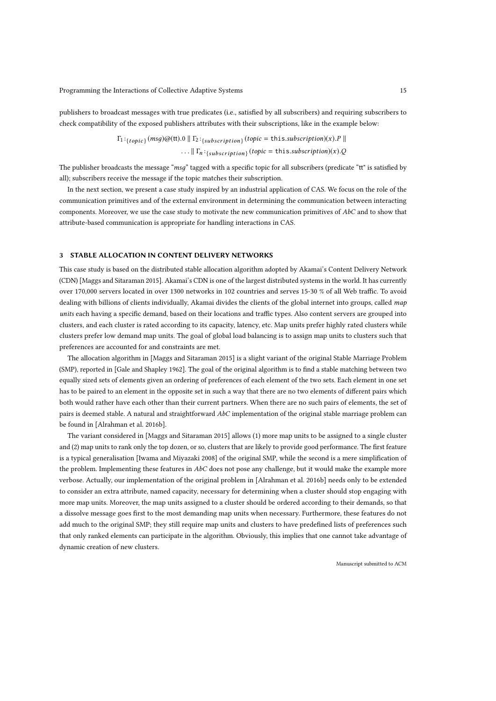publishers to broadcast messages with true predicates (i.e., satisfied by all subscribers) and requiring subscribers to check compatibility of the exposed publishers attributes with their subscriptions, like in the example below:

$$
\Gamma_1:_{\{topic\}} (msg) @ (\text{tt).0} \parallel \Gamma_2:_{\{subscripting\}} (topic) \text{ (topic = this.} subscripting) (x).P \parallel
$$
  
... 
$$
\qquad \qquad \cdots \parallel \Gamma_n:_{\{subscripting\}} (topic = this. \text{subscripting}) (x).Q
$$

The publisher broadcasts the message "msq" tagged with a specific topic for all subscribers (predicate "tt" is satisfied by all); subscribers receive the message if the topic matches their subscription.

In the next section, we present a case study inspired by an industrial application of CAS. We focus on the role of the communication primitives and of the external environment in determining the communication between interacting components. Moreover, we use the case study to motivate the new communication primitives of  $AbC$  and to show that attribute-based communication is appropriate for handling interactions in CAS.

## 3 STABLE ALLOCATION IN CONTENT DELIVERY NETWORKS

This case study is based on the distributed stable allocation algorithm adopted by Akamai's Content Delivery Network (CDN) [Maggs and Sitaraman 2015]. Akamai's CDN is one of the largest distributed systems in the world. It has currently over 170,000 servers located in over 1300 networks in 102 countries and serves 15-30 % of all Web traffic. To avoid dealing with billions of clients individually, Akamai divides the clients of the global internet into groups, called map units each having a specific demand, based on their locations and traffic types. Also content servers are grouped into clusters, and each cluster is rated according to its capacity, latency, etc. Map units prefer highly rated clusters while clusters prefer low demand map units. The goal of global load balancing is to assign map units to clusters such that preferences are accounted for and constraints are met.

The allocation algorithm in [Maggs and Sitaraman 2015] is a slight variant of the original Stable Marriage Problem (SMP), reported in [Gale and Shapley 1962]. The goal of the original algorithm is to find a stable matching between two equally sized sets of elements given an ordering of preferences of each element of the two sets. Each element in one set has to be paired to an element in the opposite set in such a way that there are no two elements of different pairs which both would rather have each other than their current partners. When there are no such pairs of elements, the set of pairs is deemed stable. A natural and straightforward AbC implementation of the original stable marriage problem can be found in [Alrahman et al. 2016b].

The variant considered in [Maggs and Sitaraman 2015] allows (1) more map units to be assigned to a single cluster and (2) map units to rank only the top dozen, or so, clusters that are likely to provide good performance. The first feature is a typical generalisation [Iwama and Miyazaki 2008] of the original SMP, while the second is a mere simplification of the problem. Implementing these features in  $AbC$  does not pose any challenge, but it would make the example more verbose. Actually, our implementation of the original problem in [Alrahman et al. 2016b] needs only to be extended to consider an extra attribute, named capacity, necessary for determining when a cluster should stop engaging with more map units. Moreover, the map units assigned to a cluster should be ordered according to their demands, so that a dissolve message goes first to the most demanding map units when necessary. Furthermore, these features do not add much to the original SMP; they still require map units and clusters to have predefined lists of preferences such that only ranked elements can participate in the algorithm. Obviously, this implies that one cannot take advantage of dynamic creation of new clusters.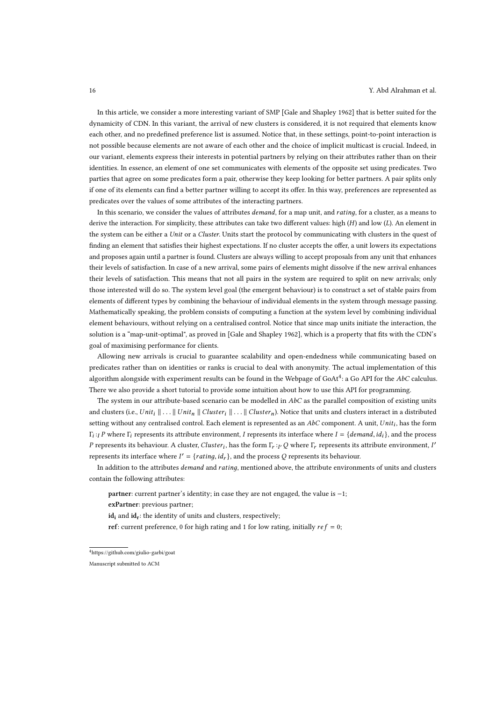In this article, we consider a more interesting variant of SMP [Gale and Shapley 1962] that is better suited for the dynamicity of CDN. In this variant, the arrival of new clusters is considered, it is not required that elements know each other, and no predefined preference list is assumed. Notice that, in these settings, point-to-point interaction is not possible because elements are not aware of each other and the choice of implicit multicast is crucial. Indeed, in our variant, elements express their interests in potential partners by relying on their attributes rather than on their identities. In essence, an element of one set communicates with elements of the opposite set using predicates. Two parties that agree on some predicates form a pair, otherwise they keep looking for better partners. A pair splits only if one of its elements can find a better partner willing to accept its offer. In this way, preferences are represented as predicates over the values of some attributes of the interacting partners.

In this scenario, we consider the values of attributes *demand*, for a map unit, and rating, for a cluster, as a means to derive the interaction. For simplicity, these attributes can take two different values: high (H) and low (L). An element in the system can be either a Unit or a Cluster. Units start the protocol by communicating with clusters in the quest of finding an element that satisfies their highest expectations. If no cluster accepts the offer, a unit lowers its expectations and proposes again until a partner is found. Clusters are always willing to accept proposals from any unit that enhances their levels of satisfaction. In case of a new arrival, some pairs of elements might dissolve if the new arrival enhances their levels of satisfaction. This means that not all pairs in the system are required to split on new arrivals; only those interested will do so. The system level goal (the emergent behaviour) is to construct a set of stable pairs from elements of different types by combining the behaviour of individual elements in the system through message passing. Mathematically speaking, the problem consists of computing a function at the system level by combining individual element behaviours, without relying on a centralised control. Notice that since map units initiate the interaction, the solution is a "map-unit-optimal", as proved in [Gale and Shapley 1962], which is a property that fits with the CDN's goal of maximising performance for clients.

Allowing new arrivals is crucial to guarantee scalability and open-endedness while communicating based on predicates rather than on identities or ranks is crucial to deal with anonymity. The actual implementation of this algorithm alongside with experiment results can be found in the Webpage of GoAt $^4$ : a Go API for the  $AbC$  calculus. There we also provide a short tutorial to provide some intuition about how to use this API for programming.

The system in our attribute-based scenario can be modelled in  $AbC$  as the parallel composition of existing units and clusters (i.e., Unit<sub>i</sub>  $|| \ldots ||$  Unit<sub>n</sub>  $||$  Cluster<sub>i</sub>  $|| \ldots ||$  Cluster<sub>n</sub>). Notice that units and clusters interact in a distributed setting without any centralised control. Each element is represented as an  $AbC$  component. A unit,  $Unit_i$ , has the form  $\Gamma_i:_{I} P$  where  $\Gamma_i$  represents its attribute environment, I represents its interface where  $I = \{demand, id_i\}$ , and the process P represents its behaviour. A cluster, Cluster<sub>i</sub>, has the form  $\Gamma_r :_{I'} Q$  where  $\Gamma_r$  represents its attribute environment, I' represents its interface where  $I' = \{rating, id_r\}$ , and the process Q represents its behaviour.

In addition to the attributes *demand* and *rating*, mentioned above, the attribute environments of units and clusters contain the following attributes:

partner: current partner's identity; in case they are not engaged, the value is −1;

exPartner: previous partner;

 $id_i$  and  $id_r$ : the identity of units and clusters, respectively;

ref: current preference, 0 for high rating and 1 for low rating, initially  $ref = 0$ ;

 ${}^4{\rm https://github.com/giulio-garbi/goat}$ 

Manuscript submitted to ACM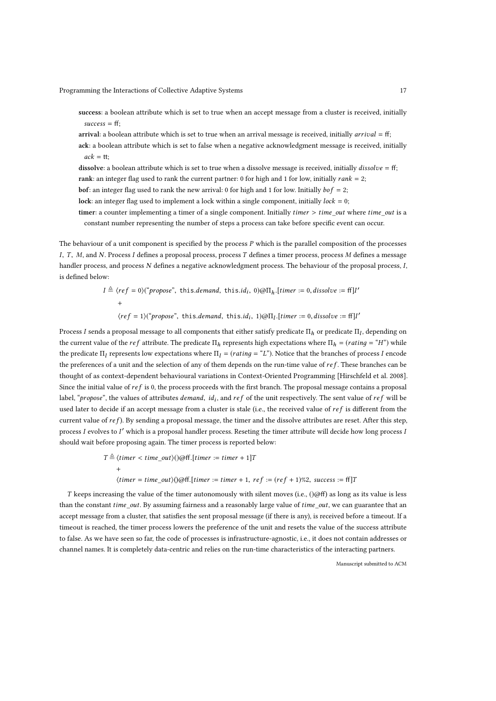success: a boolean attribute which is set to true when an accept message from a cluster is received, initially  $success = ff$ :

arrival: a boolean attribute which is set to true when an arrival message is received, initially arrival = ff;

ack: a boolean attribute which is set to false when a negative acknowledgment message is received, initially  $ack = tt;$ 

dissolve: a boolean attribute which is set to true when a dissolve message is received, initially  $dissolve = ff$ ;

rank: an integer flag used to rank the current partner: 0 for high and 1 for low, initially rank = 2;

bof: an integer flag used to rank the new arrival: 0 for high and 1 for low. Initially  $bof = 2$ ;

lock: an integer flag used to implement a lock within a single component, initially  $lock = 0$ ;

timer: a counter implementing a timer of a single component. Initially  $timer > time\_out$  where  $time\_out$  is a constant number representing the number of steps a process can take before specific event can occur.

The behaviour of a unit component is specified by the process  $P$  which is the parallel composition of the processes I, T, M, and N. Process I defines a proposal process, process T defines a timer process, process M defines a message handler process, and process N defines a negative acknowledgment process. The behaviour of the proposal process, I, is defined below:

> $I \triangleq \langle ref = 0 \rangle$ ("propose", this.demand, this.id<sub>i</sub>, 0)@ $\Pi_h$ .[timer := 0,dissolve := ff]I' +  $\langle ref = 1 \rangle$ ("propose", this.demand, this.id<sub>i</sub>, 1)@ $\Pi_l$ .[timer := 0,dissolve := ff]I'

Process I sends a proposal message to all components that either satisfy predicate  $\Pi_h$  or predicate  $\Pi_l$ , depending on the current value of the ref attribute. The predicate  $\Pi_h$  represents high expectations where  $\Pi_h = (rating = "H")$  while the predicate  $\Pi_l$  represents low expectations where  $\Pi_l = (rating = "L")$ . Notice that the branches of process I encode the preferences of a unit and the selection of any of them depends on the run-time value of  $ref$ . These branches can be thought of as context-dependent behavioural variations in Context-Oriented Programming [Hirschfeld et al. 2008]. Since the initial value of  $ref$  is 0, the process proceeds with the first branch. The proposal message contains a proposal label, "propose", the values of attributes demand, id<sub>i</sub>, and ref of the unit respectively. The sent value of ref will be used later to decide if an accept message from a cluster is stale (i.e., the received value of  $ref$  is different from the current value of  $ref$ ). By sending a proposal message, the timer and the dissolve attributes are reset. After this step, process I evolves to I $^{\prime}$  which is a proposal handler process. Reseting the timer attribute will decide how long process i should wait before proposing again. The timer process is reported below:

$$
T \triangleq \langle timer < time\_out \rangle \text{()} \text{@ff}.[timer := timer + 1]T
$$
\n
$$
+ \langle timer = time\_out \rangle \text{()} \text{@ff}.[timer := timer + 1, ref := (ref + 1)\%2, success := ff]
$$

T keeps increasing the value of the timer autonomously with silent moves (i.e.,  $()$ @ff) as long as its value is less than the constant time\_out. By assuming fairness and a reasonably large value of time\_out, we can guarantee that an accept message from a cluster, that satisfies the sent proposal message (if there is any), is received before a timeout. If a timeout is reached, the timer process lowers the preference of the unit and resets the value of the success attribute to false. As we have seen so far, the code of processes is infrastructure-agnostic, i.e., it does not contain addresses or channel names. It is completely data-centric and relies on the run-time characteristics of the interacting partners.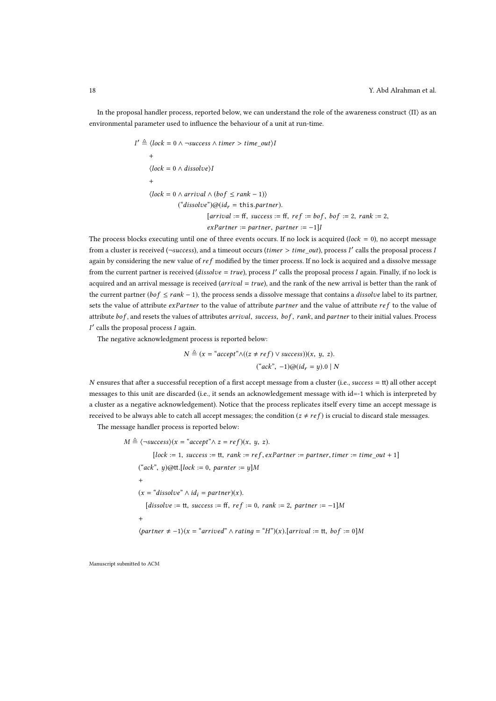In the proposal handler process, reported below, we can understand the role of the awareness construct  $\langle \Pi \rangle$  as an environmental parameter used to influence the behaviour of a unit at run-time.

$$
\angle \triangleq \langle lock = 0 \land \neg success \land timer > time\_out \rangle I
$$
  
+  

$$
\langle lock = 0 \land dissolve \rangle I
$$
  
+  

$$
\langle lock = 0 \land arrival \land (bof \le rank - 1) \rangle
$$
  
("dissolve")@( $id_r = this.parentner$ ).  
[arrival := ff, success := ff, ref := bof, bof := 2, rank := 2,  
exPartner := partner, partner := -1]I

The process blocks executing until one of three events occurs. If no lock is acquired (lock = 0), no accept message from a cluster is received (¬success), and a timeout occurs (*timer > time\_out*), process  $I'$  calls the proposal process  $I$ again by considering the new value of  $ref$  modified by the timer process. If no lock is acquired and a dissolve message from the current partner is received (*dissolve* =  $true$ ), process  $I'$  calls the proposal process  $I$  again. Finally, if no lock is acquired and an arrival message is received (arrival  $= true$ ), and the rank of the new arrival is better than the rank of the current partner ( $bof \leq rank - 1$ ), the process sends a dissolve message that contains a *dissolve* label to its partner, sets the value of attribute exPartner to the value of attribute partner and the value of attribute ref to the value of attribute bof, and resets the values of attributes arrival, success, bof, rank, and partner to their initial values. Process I ′ calls the proposal process I again.

The negative acknowledgment process is reported below:

$$
N \triangleq (x = "accept" \land ((z \neq ref) \lor success))(x, y, z).
$$
  

$$
("ack", -1)@(idr = y).0 \mid N
$$

N ensures that after a successful reception of a first accept message from a cluster (i.e.,  $success = tt$ ) all other accept messages to this unit are discarded (i.e., it sends an acknowledgement message with id=-1 which is interpreted by a cluster as a negative acknowledgement). Notice that the process replicates itself every time an accept message is received to be always able to catch all accept messages; the condition  $(z \neq ref)$  is crucial to discard stale messages.

The message handler process is reported below:

 $M \triangleq \langle$  ¬success $\rangle$ (x = "accept" $\wedge$  z = ref)(x, y, z).  $[lock := 1, success := tt, rank := ref, ex Partner := partner, timer := time\_out + 1]$  $("ack", y)@$ tt.[lock := 0, parnter := y]M +  $(x = "dissolve" \wedge id_i = partner)(x).$  $[dissolve := tt, success := ff, ref := 0, rank := 2, partner := -1]M$  $^{+}$  $\langle$ partner  $\neq -1 \rangle$ (x = "arrived"  $\land$  rating = "H")(x).[arrival := tt, bof := 0]M

Manuscript submitted to ACM

I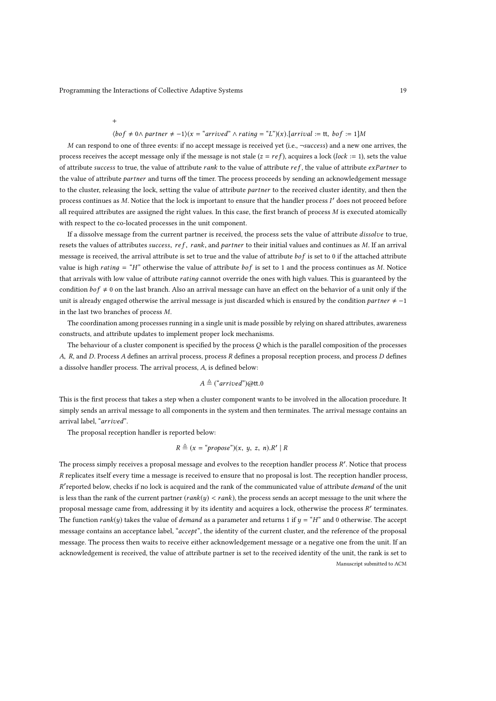+

#### $\langle$ bof  $\neq$  0 $\land$  partner  $\neq$  -1 $\rangle$ (x = "arrived"  $\land$  rating = "L")(x).[arrival := tt, bof := 1]M

M can respond to one of three events: if no accept message is received yet (i.e.,  $\neg success$ ) and a new one arrives, the process receives the accept message only if the message is not stale ( $z = ref$ ), acquires a lock (lock := 1), sets the value of attribute success to true, the value of attribute rank to the value of attribute  $ref$ , the value of attribute  $exPartner$  to the value of attribute partner and turns off the timer. The process proceeds by sending an acknowledgement message to the cluster, releasing the lock, setting the value of attribute partner to the received cluster identity, and then the process continues as M. Notice that the lock is important to ensure that the handler process I' does not proceed before all required attributes are assigned the right values. In this case, the first branch of process M is executed atomically with respect to the co-located processes in the unit component.

If a dissolve message from the current partner is received, the process sets the value of attribute *dissolve* to true, resets the values of attributes success, ref, rank, and partner to their initial values and continues as  $M$ . If an arrival message is received, the arrival attribute is set to true and the value of attribute  $bof$  is set to 0 if the attached attribute value is high rating = "H" otherwise the value of attribute  $bof$  is set to 1 and the process continues as M. Notice that arrivals with low value of attribute rating cannot override the ones with high values. This is guaranteed by the condition  $bof \neq 0$  on the last branch. Also an arrival message can have an effect on the behavior of a unit only if the unit is already engaged otherwise the arrival message is just discarded which is ensured by the condition partner  $\neq -1$ in the last two branches of process M.

The coordination among processes running in a single unit is made possible by relying on shared attributes, awareness constructs, and attribute updates to implement proper lock mechanisms.

The behaviour of a cluster component is specified by the process  $Q$  which is the parallel composition of the processes A, R, and D. Process A defines an arrival process, process R defines a proposal reception process, and process D defines a dissolve handler process. The arrival process, A, is defined below:

## $A \triangleq$  ("arrived")@tt.0

This is the first process that takes a step when a cluster component wants to be involved in the allocation procedure. It simply sends an arrival message to all components in the system and then terminates. The arrival message contains an arrival label, "arrived".

The proposal reception handler is reported below:

$$
R \triangleq (x = \text{``propose''})(x, y, z, n).R' \mid R
$$

The process simply receives a proposal message and evolves to the reception handler process  $R'$ . Notice that process R replicates itself every time a message is received to ensure that no proposal is lost. The reception handler process, R' reported below, checks if no lock is acquired and the rank of the communicated value of attribute demand of the unit is less than the rank of the current partner  $(\text{rank}(y) < \text{rank})$ , the process sends an accept message to the unit where the proposal message came from, addressing it by its identity and acquires a lock, otherwise the process R' terminates. The function *rank*(y) takes the value of *demand* as a parameter and returns 1 if  $y = "H"$  and 0 otherwise. The accept message contains an acceptance label, "accept", the identity of the current cluster, and the reference of the proposal message. The process then waits to receive either acknowledgement message or a negative one from the unit. If an acknowledgement is received, the value of attribute partner is set to the received identity of the unit, the rank is set to Manuscript submitted to ACM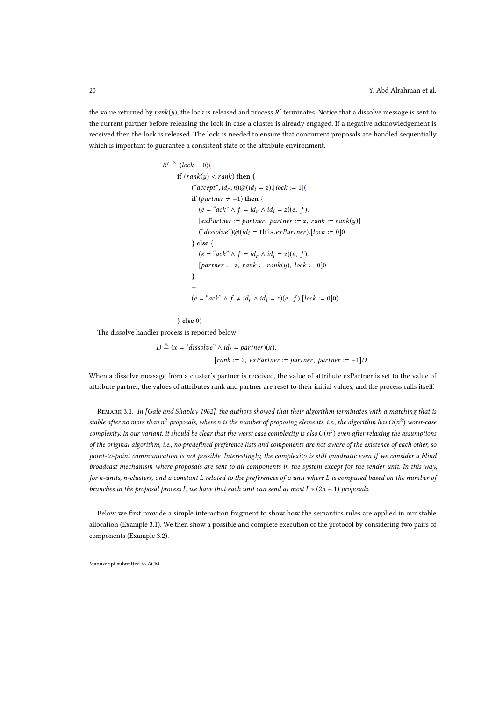the value returned by  $rank(y)$ , the lock is released and process  $R'$  terminates. Notice that a dissolve message is sent to the current partner before releasing the lock in case a cluster is already engaged. If a negative acknowledgement is received then the lock is released. The lock is needed to ensure that concurrent proposals are handled sequentially which is important to guarantee a consistent state of the attribute environment.

```
R' \triangleq \langle lock = 0 \rangleif (rank(y) < rank) then {
("accept", id<sub>r</sub>, n)@(id<sub>i</sub> = z).[lock := 1]if (partner \neq -1) then {
   (e = "ack" \wedge f = id_r \wedge id_i = z)(e, f).[exPartner := partner, partner := z, rank := rank(y)]("dissolve")@(id_i = this.exPartner).[lock := 0]0} else {
   (e = "ack" \wedge f = id_r \wedge id_i = z)(e, f).[partner := z, rank := rank(y), lock := 0]0
 }
 +
(e = \alpha c k^* \wedge f \neq id_r \wedge id_i = z)(e, f). [lock := 0]0)
```
#### } else 0)

The dissolve handler process is reported below:

 $D \triangleq (x = \text{``dissolve''} \wedge id_i = partner)(x).$  $[rank := 2, ex Partner := partner, partner := -1]D$ 

When a dissolve message from a cluster's partner is received, the value of attribute exPartner is set to the value of attribute partner, the values of attributes rank and partner are reset to their initial values, and the process calls itself.

REMARK 3.1. In [Gale and Shapley 1962], the authors showed that their algorithm terminates with a matching that is stable after no more than  $n^2$  proposals, where  $n$  is the number of proposing elements, i.e., the algorithm has  $O(n^2)$  worst-case complexity. In our variant, it should be clear that the worst case complexity is also  $O(n^2)$  even after relaxing the assumptions of the original algorithm, i.e., no predefined preference lists and components are not aware of the existence of each other, so point-to-point communication is not possible. Interestingly, the complexity is still quadratic even if we consider a blind broadcast mechanism where proposals are sent to all components in the system except for the sender unit. In this way, for n-units, n-clusters, and a constant L related to the preferences of a unit where L is computed based on the number of branches in the proposal process I, we have that each unit can send at most  $L * (2n - 1)$  proposals.

Below we first provide a simple interaction fragment to show how the semantics rules are applied in our stable allocation (Example 3.1). We then show a possible and complete execution of the protocol by considering two pairs of components (Example 3.2).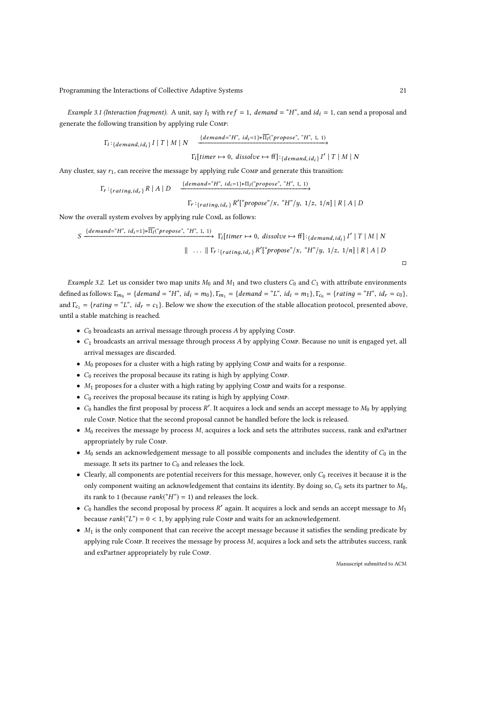Example 3.1 (Interaction fragment). A unit, say  $I_1$  with  $ref = 1$ , demand = "H", and  $id_i = 1$ , can send a proposal and generate the following transition by applying rule Comp:

 $\overline{\Gamma_i}: \{ demand, id_i \} \ \overline{I} \mid T \mid M \mid N \longrightarrow \frac{\{ demand = "H", id_i=1\} \circ \overline{\Pi_i}("propose", "H", 1, 1)}{\longrightarrow}$ 

 $\Gamma_i$ [timer  $\mapsto$  0, dissolve  $\mapsto$  ff]: $_{{{demand},id_i}$ } I' | T | M | N

Any cluster, say  $r_1$ , can receive the message by applying rule Comp and generate this transition:

$$
\Gamma_r:_{\{rating, id_r\}} R \mid A \mid D \qquad \xrightarrow{\{demand \equiv "H", id_i=1\} \circ \Pi_l("propose", "H", 1, 1)} \Gamma_r:_{\{rating, id_r\}} R'["propose", x, "H", 1/z, 1/n] \mid R \mid A \mid D
$$

Now the overall system evolves by applying rule ComL as follows:

$$
S \xrightarrow{\{demand="H", id_i=1\} \circ \overline{\Pi_I}(\text{``propose''}, \text{``H''}, 1, 1)} \Gamma_I[\text{timer} \mapsto 0, \text{ dissolved} \mapsto \text{ff}]: \{demand, id_i\} \Gamma' | T | M | N
$$
  

$$
|| \cdots || \Gamma_r:_{\{rating, id_r\}} R'[\text{``propose''}/x, \text{``H''}/y, 1/z, 1/n] | R | A | D
$$

*Example 3.2.* Let us consider two map units  $M_0$  and  $M_1$  and two clusters  $C_0$  and  $C_1$  with attribute environments defined as follows:  $\Gamma_{m_0} = \{demand = "H", id_i = m_0\}, \Gamma_{m_1} = \{demand = "L", id_i = m_1\}, \Gamma_{c_0} = \{rating = "H", id_r = c_0\},$ and  $\Gamma_{c_1} = \{rating = "L", id_r = c_1\}$ . Below we show the execution of the stable allocation protocol, presented above, until a stable matching is reached.

- $C_0$  broadcasts an arrival message through process A by applying Comp.
- $\bullet$   $C_1$  broadcasts an arrival message through process A by applying COMP. Because no unit is engaged yet, all arrival messages are discarded.
- $M_0$  proposes for a cluster with a high rating by applying COMP and waits for a response.
- $\bullet$   $C_0$  receives the proposal because its rating is high by applying Comp.
- $\bullet$   $M_1$  proposes for a cluster with a high rating by applying Comp and waits for a response.
- $C_0$  receives the proposal because its rating is high by applying Comp.
- $C_0$  handles the first proposal by process  $R'$ . It acquires a lock and sends an accept message to  $M_0$  by applying rule Comp. Notice that the second proposal cannot be handled before the lock is released.
- $M_0$  receives the message by process M, acquires a lock and sets the attributes success, rank and exPartner appropriately by rule Comp.
- $M_0$  sends an acknowledgement message to all possible components and includes the identity of  $C_0$  in the message. It sets its partner to  $C_0$  and releases the lock.
- Clearly, all components are potential receivers for this message, however, only  $C_0$  receives it because it is the only component waiting an acknowledgement that contains its identity. By doing so,  $C_0$  sets its partner to  $M_0$ , its rank to 1 (because  $rank("H") = 1$ ) and releases the lock.
- $C_0$  handles the second proposal by process  $R'$  again. It acquires a lock and sends an accept message to  $M_1$ because  $rank("L") = 0 < 1$ , by applying rule Comp and waits for an acknowledgement.
- $\bullet$  M<sub>1</sub> is the only component that can receive the accept message because it satisfies the sending predicate by applying rule Comp. It receives the message by process M, acquires a lock and sets the attributes success, rank and exPartner appropriately by rule Comp.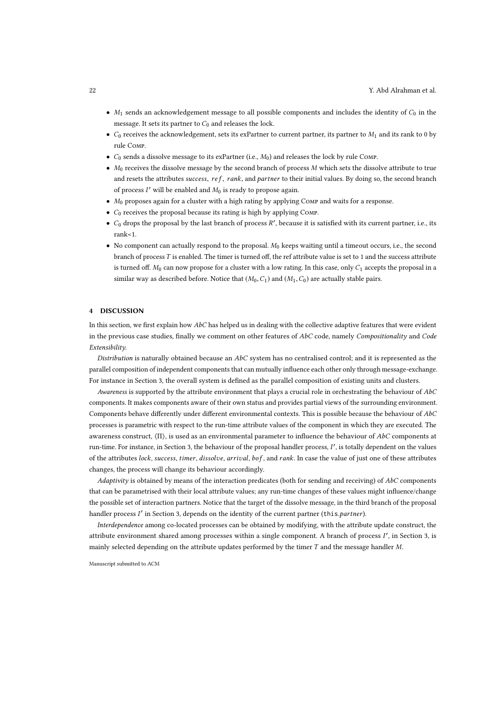- $M_1$  sends an acknowledgement message to all possible components and includes the identity of  $C_0$  in the message. It sets its partner to  $C_0$  and releases the lock.
- $C_0$  receives the acknowledgement, sets its exPartner to current partner, its partner to  $M_1$  and its rank to 0 by rule Comp.
- $C_0$  sends a dissolve message to its exPartner (i.e.,  $M_0$ ) and releases the lock by rule Comp.
- $\bullet$  M<sub>0</sub> receives the dissolve message by the second branch of process M which sets the dissolve attribute to true and resets the attributes success, ref, rank, and partner to their initial values. By doing so, the second branch of process  $I'$  will be enabled and  $M_0$  is ready to propose again.
- $M_0$  proposes again for a cluster with a high rating by applying COMP and waits for a response.
- $C_0$  receives the proposal because its rating is high by applying Comp.
- $C_0$  drops the proposal by the last branch of process  $R'$ , because it is satisfied with its current partner, i.e., its rank<1.
- No component can actually respond to the proposal.  $M_0$  keeps waiting until a timeout occurs, i.e., the second branch of process T is enabled. The timer is turned off, the ref attribute value is set to 1 and the success attribute is turned off.  $M_0$  can now propose for a cluster with a low rating. In this case, only  $C_1$  accepts the proposal in a similar way as described before. Notice that  $(M_0, C_1)$  and  $(M_1, C_0)$  are actually stable pairs.

#### 4 DISCUSSION

In this section, we first explain how AbC has helped us in dealing with the collective adaptive features that were evident in the previous case studies, finally we comment on other features of  $AbC$  code, namely Compositionality and Code Extensibility.

Distribution is naturally obtained because an  $AbC$  system has no centralised control; and it is represented as the parallel composition of independent components that can mutually influence each other only through message-exchange. For instance in Section 3, the overall system is defined as the parallel composition of existing units and clusters.

Awareness is supported by the attribute environment that plays a crucial role in orchestrating the behaviour of  $AbC$ components. It makes components aware of their own status and provides partial views of the surrounding environment. Components behave differently under different environmental contexts. This is possible because the behaviour of  $AbC$ processes is parametric with respect to the run-time attribute values of the component in which they are executed. The awareness construct,  $\langle \Pi \rangle$ , is used as an environmental parameter to influence the behaviour of AbC components at run-time. For instance, in Section 3, the behaviour of the proposal handler process, I', is totally dependent on the values of the attributes lock, success, timer, dissolve, arrival, bof, and rank. In case the value of just one of these attributes changes, the process will change its behaviour accordingly.

Adaptivity is obtained by means of the interaction predicates (both for sending and receiving) of  $AbC$  components that can be parametrised with their local attribute values; any run-time changes of these values might influence/change the possible set of interaction partners. Notice that the target of the dissolve message, in the third branch of the proposal handler process I' in Section 3, depends on the identity of the current partner (this.partner).

Interdependence among co-located processes can be obtained by modifying, with the attribute update construct, the attribute environment shared among processes within a single component. A branch of process I', in Section 3, is mainly selected depending on the attribute updates performed by the timer  $T$  and the message handler  $M$ .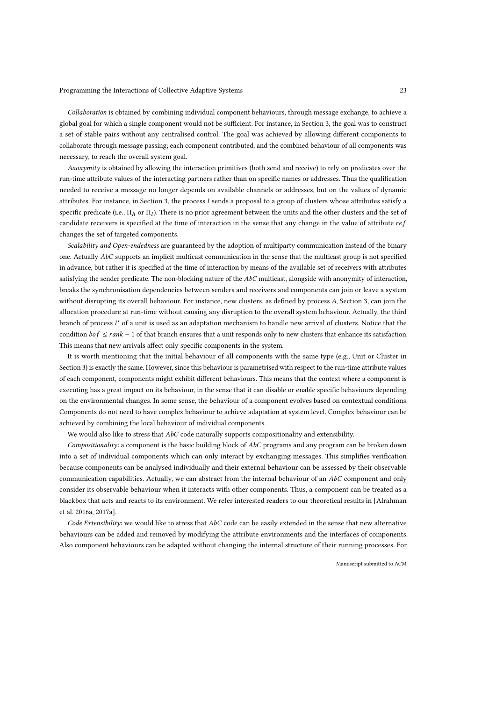Collaboration is obtained by combining individual component behaviours, through message exchange, to achieve a global goal for which a single component would not be sufficient. For instance, in Section 3, the goal was to construct a set of stable pairs without any centralised control. The goal was achieved by allowing different components to collaborate through message passing; each component contributed, and the combined behaviour of all components was necessary, to reach the overall system goal.

Anonymity is obtained by allowing the interaction primitives (both send and receive) to rely on predicates over the run-time attribute values of the interacting partners rather than on specific names or addresses. Thus the qualification needed to receive a message no longer depends on available channels or addresses, but on the values of dynamic attributes. For instance, in Section 3, the process I sends a proposal to a group of clusters whose attributes satisfy a specific predicate (i.e.,  $\Pi_h$  or  $\Pi_l$ ). There is no prior agreement between the units and the other clusters and the set of candidate receivers is specified at the time of interaction in the sense that any change in the value of attribute  $ref$ changes the set of targeted components.

Scalability and Open-endedness are guaranteed by the adoption of multiparty communication instead of the binary one. Actually AbC supports an implicit multicast communication in the sense that the multicast group is not specified in advance, but rather it is specified at the time of interaction by means of the available set of receivers with attributes satisfying the sender predicate. The non-blocking nature of the AbC multicast, alongside with anonymity of interaction, breaks the synchronisation dependencies between senders and receivers and components can join or leave a system without disrupting its overall behaviour. For instance, new clusters, as defined by process A, Section 3, can join the allocation procedure at run-time without causing any disruption to the overall system behaviour. Actually, the third branch of process I' of a unit is used as an adaptation mechanism to handle new arrival of clusters. Notice that the condition  $b \circ f \leq rank - 1$  of that branch ensures that a unit responds only to new clusters that enhance its satisfaction. This means that new arrivals affect only specific components in the system.

It is worth mentioning that the initial behaviour of all components with the same type (e.g., Unit or Cluster in Section 3) is exactly the same. However, since this behaviour is parametrised with respect to the run-time attribute values of each component, components might exhibit different behaviours. This means that the context where a component is executing has a great impact on its behaviour, in the sense that it can disable or enable specific behaviours depending on the environmental changes. In some sense, the behaviour of a component evolves based on contextual conditions. Components do not need to have complex behaviour to achieve adaptation at system level. Complex behaviour can be achieved by combining the local behaviour of individual components.

We would also like to stress that  $AbC$  code naturally supports compositionality and extensibility.

Compositionality: a component is the basic building block of  $AbC$  programs and any program can be broken down into a set of individual components which can only interact by exchanging messages. This simplifies verification because components can be analysed individually and their external behaviour can be assessed by their observable communication capabilities. Actually, we can abstract from the internal behaviour of an  $AbC$  component and only consider its observable behaviour when it interacts with other components. Thus, a component can be treated as a blackbox that acts and reacts to its environment. We refer interested readers to our theoretical results in [Alrahman et al. 2016a, 2017a].

Code Extensibility: we would like to stress that  $AbC$  code can be easily extended in the sense that new alternative behaviours can be added and removed by modifying the attribute environments and the interfaces of components. Also component behaviours can be adapted without changing the internal structure of their running processes. For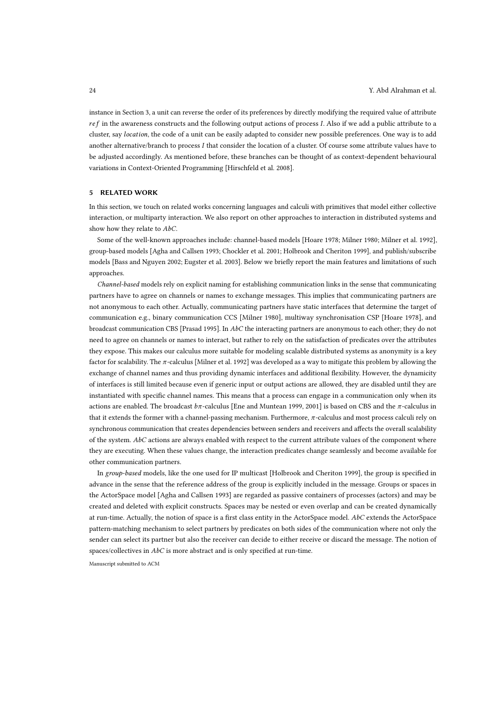instance in Section 3, a unit can reverse the order of its preferences by directly modifying the required value of attribute  $ref$  in the awareness constructs and the following output actions of process I. Also if we add a public attribute to a cluster, say location, the code of a unit can be easily adapted to consider new possible preferences. One way is to add another alternative/branch to process I that consider the location of a cluster. Of course some attribute values have to be adjusted accordingly. As mentioned before, these branches can be thought of as context-dependent behavioural variations in Context-Oriented Programming [Hirschfeld et al. 2008].

#### 5 RELATED WORK

In this section, we touch on related works concerning languages and calculi with primitives that model either collective interaction, or multiparty interaction. We also report on other approaches to interaction in distributed systems and show how they relate to AbC.

Some of the well-known approaches include: channel-based models [Hoare 1978; Milner 1980; Milner et al. 1992], group-based models [Agha and Callsen 1993; Chockler et al. 2001; Holbrook and Cheriton 1999], and publish/subscribe models [Bass and Nguyen 2002; Eugster et al. 2003]. Below we briefly report the main features and limitations of such approaches.

Channel-based models rely on explicit naming for establishing communication links in the sense that communicating partners have to agree on channels or names to exchange messages. This implies that communicating partners are not anonymous to each other. Actually, communicating partners have static interfaces that determine the target of communication e.g., binary communication CCS [Milner 1980], multiway synchronisation CSP [Hoare 1978], and broadcast communication CBS [Prasad 1995]. In AbC the interacting partners are anonymous to each other; they do not need to agree on channels or names to interact, but rather to rely on the satisfaction of predicates over the attributes they expose. This makes our calculus more suitable for modeling scalable distributed systems as anonymity is a key factor for scalability. The  $\pi$ -calculus [Milner et al. 1992] was developed as a way to mitigate this problem by allowing the exchange of channel names and thus providing dynamic interfaces and additional flexibility. However, the dynamicity of interfaces is still limited because even if generic input or output actions are allowed, they are disabled until they are instantiated with specific channel names. This means that a process can engage in a communication only when its actions are enabled. The broadcast  $b\pi$ -calculus [Ene and Muntean 1999, 2001] is based on CBS and the  $\pi$ -calculus in that it extends the former with a channel-passing mechanism. Furthermore, π-calculus and most process calculi rely on synchronous communication that creates dependencies between senders and receivers and affects the overall scalability of the system.  $AbC$  actions are always enabled with respect to the current attribute values of the component where they are executing. When these values change, the interaction predicates change seamlessly and become available for other communication partners.

In group-based models, like the one used for IP multicast [Holbrook and Cheriton 1999], the group is specified in advance in the sense that the reference address of the group is explicitly included in the message. Groups or spaces in the ActorSpace model [Agha and Callsen 1993] are regarded as passive containers of processes (actors) and may be created and deleted with explicit constructs. Spaces may be nested or even overlap and can be created dynamically at run-time. Actually, the notion of space is a first class entity in the ActorSpace model. AbC extends the ActorSpace pattern-matching mechanism to select partners by predicates on both sides of the communication where not only the sender can select its partner but also the receiver can decide to either receive or discard the message. The notion of spaces/collectives in AbC is more abstract and is only specified at run-time.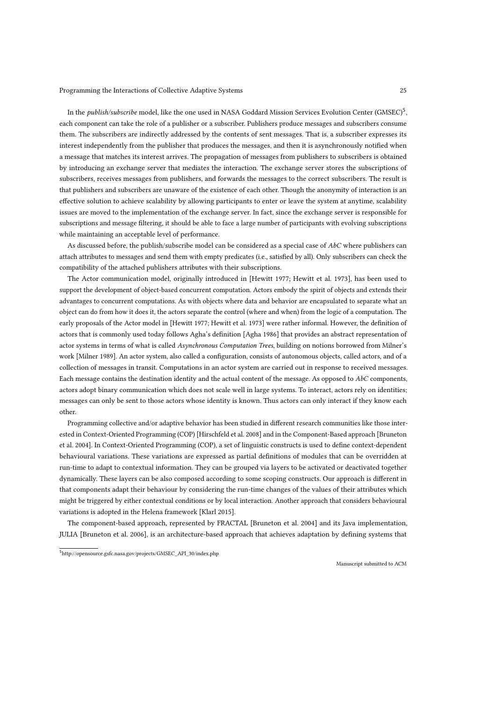In the *publish/subscribe* model, like the one used in NASA Goddard Mission Services Evolution Center (GMSEC)<sup>5</sup>, each component can take the role of a publisher or a subscriber. Publishers produce messages and subscribers consume them. The subscribers are indirectly addressed by the contents of sent messages. That is, a subscriber expresses its interest independently from the publisher that produces the messages, and then it is asynchronously notified when a message that matches its interest arrives. The propagation of messages from publishers to subscribers is obtained by introducing an exchange server that mediates the interaction. The exchange server stores the subscriptions of subscribers, receives messages from publishers, and forwards the messages to the correct subscribers. The result is that publishers and subscribers are unaware of the existence of each other. Though the anonymity of interaction is an effective solution to achieve scalability by allowing participants to enter or leave the system at anytime, scalability issues are moved to the implementation of the exchange server. In fact, since the exchange server is responsible for subscriptions and message filtering, it should be able to face a large number of participants with evolving subscriptions while maintaining an acceptable level of performance.

As discussed before, the publish/subscribe model can be considered as a special case of AbC where publishers can attach attributes to messages and send them with empty predicates (i.e., satisfied by all). Only subscribers can check the compatibility of the attached publishers attributes with their subscriptions.

The Actor communication model, originally introduced in [Hewitt 1977; Hewitt et al. 1973], has been used to support the development of object-based concurrent computation. Actors embody the spirit of objects and extends their advantages to concurrent computations. As with objects where data and behavior are encapsulated to separate what an object can do from how it does it, the actors separate the control (where and when) from the logic of a computation. The early proposals of the Actor model in [Hewitt 1977; Hewitt et al. 1973] were rather informal. However, the definition of actors that is commonly used today follows Agha's definition [Agha 1986] that provides an abstract representation of actor systems in terms of what is called Asynchronous Computation Trees, building on notions borrowed from Milner's work [Milner 1989]. An actor system, also called a configuration, consists of autonomous objects, called actors, and of a collection of messages in transit. Computations in an actor system are carried out in response to received messages. Each message contains the destination identity and the actual content of the message. As opposed to  $AbC$  components, actors adopt binary communication which does not scale well in large systems. To interact, actors rely on identities; messages can only be sent to those actors whose identity is known. Thus actors can only interact if they know each other.

Programming collective and/or adaptive behavior has been studied in different research communities like those interested in Context-Oriented Programming (COP) [Hirschfeld et al. 2008] and in the Component-Based approach [Bruneton et al. 2004]. In Context-Oriented Programming (COP), a set of linguistic constructs is used to define context-dependent behavioural variations. These variations are expressed as partial definitions of modules that can be overridden at run-time to adapt to contextual information. They can be grouped via layers to be activated or deactivated together dynamically. These layers can be also composed according to some scoping constructs. Our approach is different in that components adapt their behaviour by considering the run-time changes of the values of their attributes which might be triggered by either contextual conditions or by local interaction. Another approach that considers behavioural variations is adopted in the Helena framework [Klarl 2015].

The component-based approach, represented by FRACTAL [Bruneton et al. 2004] and its Java implementation, JULIA [Bruneton et al. 2006], is an architecture-based approach that achieves adaptation by defining systems that

<sup>5</sup>http://opensource.gsfc.nasa.gov/projects/GMSEC\_API\_30/index.php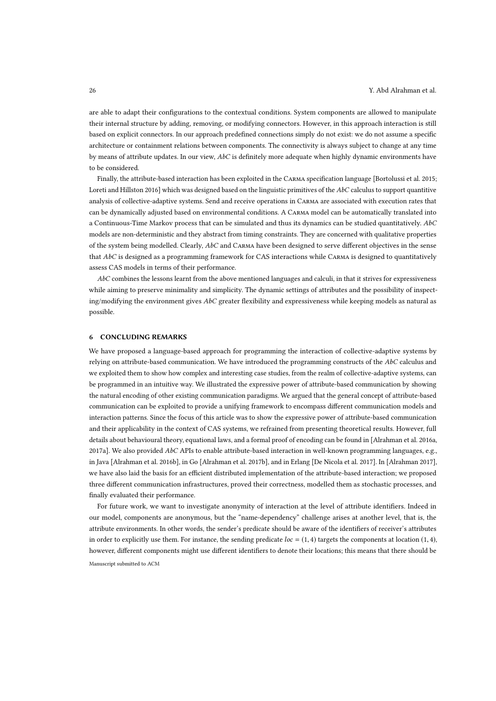are able to adapt their configurations to the contextual conditions. System components are allowed to manipulate their internal structure by adding, removing, or modifying connectors. However, in this approach interaction is still based on explicit connectors. In our approach predefined connections simply do not exist: we do not assume a specific architecture or containment relations between components. The connectivity is always subject to change at any time by means of attribute updates. In our view,  $AbC$  is definitely more adequate when highly dynamic environments have to be considered.

Finally, the attribute-based interaction has been exploited in the Carma specification language [Bortolussi et al. 2015; Loreti and Hillston 2016] which was designed based on the linguistic primitives of the AbC calculus to support quantitive analysis of collective-adaptive systems. Send and receive operations in Carma are associated with execution rates that can be dynamically adjusted based on environmental conditions. A Carma model can be automatically translated into a Continuous-Time Markov process that can be simulated and thus its dynamics can be studied quantitatively. AbC models are non-deterministic and they abstract from timing constraints. They are concerned with qualitative properties of the system being modelled. Clearly,  $AbC$  and CARMA have been designed to serve different objectives in the sense that  $AbC$  is designed as a programming framework for CAS interactions while CARMA is designed to quantitatively assess CAS models in terms of their performance.

 $AbC$  combines the lessons learnt from the above mentioned languages and calculi, in that it strives for expressiveness while aiming to preserve minimality and simplicity. The dynamic settings of attributes and the possibility of inspecting/modifying the environment gives  $AbC$  greater flexibility and expressiveness while keeping models as natural as possible.

#### 6 CONCLUDING REMARKS

We have proposed a language-based approach for programming the interaction of collective-adaptive systems by relying on attribute-based communication. We have introduced the programming constructs of the  $AbC$  calculus and we exploited them to show how complex and interesting case studies, from the realm of collective-adaptive systems, can be programmed in an intuitive way. We illustrated the expressive power of attribute-based communication by showing the natural encoding of other existing communication paradigms. We argued that the general concept of attribute-based communication can be exploited to provide a unifying framework to encompass different communication models and interaction patterns. Since the focus of this article was to show the expressive power of attribute-based communication and their applicability in the context of CAS systems, we refrained from presenting theoretical results. However, full details about behavioural theory, equational laws, and a formal proof of encoding can be found in [Alrahman et al. 2016a, 2017a]. We also provided  $AbC$  APIs to enable attribute-based interaction in well-known programming languages, e.g., in Java [Alrahman et al. 2016b], in Go [Alrahman et al. 2017b], and in Erlang [De Nicola et al. 2017]. In [Alrahman 2017], we have also laid the basis for an efficient distributed implementation of the attribute-based interaction; we proposed three different communication infrastructures, proved their correctness, modelled them as stochastic processes, and finally evaluated their performance.

For future work, we want to investigate anonymity of interaction at the level of attribute identifiers. Indeed in our model, components are anonymous, but the "name-dependency" challenge arises at another level, that is, the attribute environments. In other words, the sender's predicate should be aware of the identifiers of receiver's attributes in order to explicitly use them. For instance, the sending predicate  $loc = (1, 4)$  targets the components at location  $(1, 4)$ , however, different components might use different identifiers to denote their locations; this means that there should be Manuscript submitted to ACM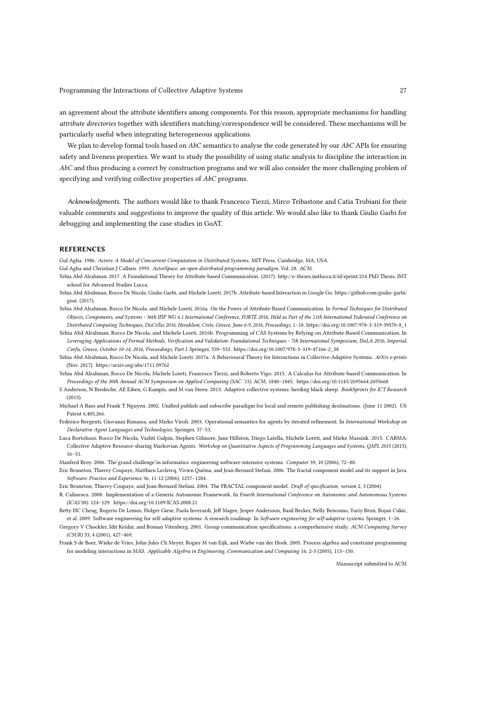an agreement about the attribute identifiers among components. For this reason, appropriate mechanisms for handling attribute directories together with identifiers matching/correspondence will be considered. These mechanisms will be particularly useful when integrating heterogeneous applications.

We plan to develop formal tools based on  $AbC$  semantics to analyse the code generated by our  $AbC$  APIs for ensuring safety and liveness properties. We want to study the possibility of using static analysis to discipline the interaction in AbC and thus producing a correct by construction programs and we will also consider the more challenging problem of specifying and verifying collective properties of AbC programs.

Acknowledgments. The authors would like to thank Francesco Tiezzi, Mirco Tribastone and Catia Trubiani for their valuable comments and suggestions to improve the quality of this article. We would also like to thank Giulio Garbi for debugging and implementing the case studies in GoAT.

#### **REFERENCES**

Gul Agha. 1986. Actors: A Model of Concurrent Computation in Distributed Systems. MIT Press, Cambridge, MA, USA.

Gul Agha and Christian J Callsen. 1993. ActorSpace: an open distributed programming paradigm. Vol. 28. ACM.

- Yehia Abd Alrahman. 2017. A Foundational Theory for Attribute-based Communication. (2017). http://e-theses.imtlucca.it/id/eprint/214 PhD Thesis, IMT school for Advanced Studies Lucca.
- Yehia Abd Alrahman, Rocco De Nicola, Giulio Garbi, and Michele Loreti. 2017b. Attribute-based Interaction in Google Go. https://github.com/giulio-garbi/ goat. (2017).
- Yehia Abd Alrahman, Rocco De Nicola, and Michele Loreti. 2016a. On the Power of Attribute-Based Communication. In Formal Techniques for Distributed Objects, Components, and Systems - 36th IFIP WG 6.1 International Conference, FORTE 2016, Held as Part of the 11th International Federated Conference on Distributed Computing Techniques, DisCoTec 2016, Heraklion, Crete, Greece, June 6-9, 2016, Proceedings. 1–18. https://doi.org/10.1007/978-3-319-39570-8\_1
- Yehia Abd Alrahman, Rocco De Nicola, and Michele Loreti. 2016b. Programming of CAS Systems by Relying on Attribute-Based Communication. In Leveraging Applications of Formal Methods, Verification and Validation: Foundational Techniques - 7th International Symposium, ISoLA 2016, Imperial, Corfu, Greece, October 10-14, 2016, Proceedings, Part I. Springer, 539–553. https://doi.org/10.1007/978-3-319-47166-2\_38
- Yehia Abd Alrahman, Rocco De Nicola, and Michele Loreti. 2017a. A Behavioural Theory for Interactions in Collective-Adaptive Systems. ArXiv e-prints (Nov. 2017). https://arxiv.org/abs/1711.09762
- Yehia Abd Alrahman, Rocco De Nicola, Michele Loreti, Francesco Tiezzi, and Roberto Vigo. 2015. A Calculus for Attribute-based Communication. In Proceedings of the 30th Annual ACM Symposium on Applied Computing (SAC '15). ACM, 1840–1845. https://doi.org/10.1145/2695664.2695668
- S Anderson, N Bredeche, AE Eiben, G Kampis, and M van Steen. 2013. Adaptive collective systems: herding black sheep. BookSprints for ICT Research  $(2013)$
- Michael A Bass and Frank T Nguyen. 2002. Unified publish and subscribe paradigm for local and remote publishing destinations. (June 11 2002). US Patent 6,405,266.
- Federico Bergenti, Giovanni Rimassa, and Mirko Viroli. 2003. Operational semantics for agents by iterated refinement. In International Workshop on Declarative Agent Languages and Technologies. Springer, 37–53.
- Luca Bortolussi, Rocco De Nicola, Vashti Galpin, Stephen Gilmore, Jane Hillston, Diego Latella, Michele Loreti, and Mieke Massink. 2015. CARMA: Collective Adaptive Resource-sharing Markovian Agents. Workshop on Quantitative Aspects of Programming Languages and Systems, QAPL 2015 (2015), 16–31.
- Manfred Broy. 2006. The'grand challenge'in informatics: engineering software-intensive systems. Computer 39, 10 (2006), 72–80.
- Eric Bruneton, Thierry Coupaye, Matthieu Leclercq, Vivien Quéma, and Jean-Bernard Stefani. 2006. The fractal component model and its support in Java. Software: Practice and Experience 36, 11-12 (2006), 1257–1284.
- Eric Bruneton, Thierry Coupaye, and Jean-Bernard Stefani. 2004. The FRACTAL component model. Draft of specification, version 2, 3 (2004).
- R. Calinescu. 2008. Implementation of a Generic Autonomic Framework. In Fourth International Conference on Autonomic and Autonomous Systems (ICAS'08). 124–129. https://doi.org/10.1109/ICAS.2008.21
- Betty HC Cheng, Rogerio De Lemos, Holger Giese, Paola Inverardi, Jeff Magee, Jesper Andersson, Basil Becker, Nelly Bencomo, Yuriy Brun, Bojan Cukic, et al. 2009. Software engineering for self-adaptive systems: A research roadmap. In Software engineering for self-adaptive systems. Springer, 1–26.
- Gregory V Chockler, Idit Keidar, and Roman Vitenberg. 2001. Group communication specifications: a comprehensive study. ACM Computing Survey (CSUR) 33, 4 (2001), 427–469.
- Frank S de Boer, Wieke de Vries, John-Jules Ch Meyer, Rogier M van Eijk, and Wiebe van der Hoek. 2005. Process algebra and constraint programming for modeling interactions in MAS. Applicable Algebra in Engineering, Communication and Computing 16, 2-3 (2005), 113–150.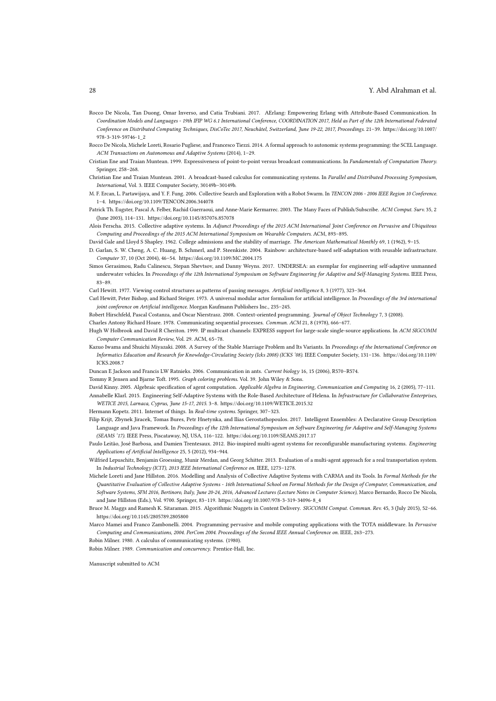#### 28 Y. Abd Alrahman et al.

- Rocco De Nicola, Tan Duong, Omar Inverso, and Catia Trubiani. 2017. AErlang: Empowering Erlang with Attribute-Based Communication. In Coordination Models and Languages - 19th IFIP WG 6.1 International Conference, COORDINATION 2017, Held as Part of the 12th International Federated Conference on Distributed Computing Techniques, DisCoTec 2017, Neuchâtel, Switzerland, June 19-22, 2017, Proceedings. 21–39. https://doi.org/10.1007/ 978-3-319-59746-1\_2
- Rocco De Nicola, Michele Loreti, Rosario Pugliese, and Francesco Tiezzi. 2014. A formal approach to autonomic systems programming: the SCEL Language. ACM Transactions on Autonomous and Adaptive Systems (2014), 1–29.
- Cristian Ene and Traian Muntean. 1999. Expressiveness of point-to-point versus broadcast communications. In Fundamentals of Computation Theory. Springer, 258–268.
- Christian Ene and Traian Muntean. 2001. A broadcast-based calculus for communicating systems. In Parallel and Distributed Processing Symposium, International, Vol. 3. IEEE Computer Society, 30149b–30149b.
- M. F. Ercan, L. Partawijaya, and Y. F. Fung. 2006. Collective Search and Exploration with a Robot Swarm. In TENCON 2006 2006 IEEE Region 10 Conference. 1–4. https://doi.org/10.1109/TENCON.2006.344078
- Patrick Th. Eugster, Pascal A. Felber, Rachid Guerraoui, and Anne-Marie Kermarrec. 2003. The Many Faces of Publish/Subscribe. ACM Comput. Surv. 35, 2 (June 2003), 114–131. https://doi.org/10.1145/857076.857078
- Alois Ferscha. 2015. Collective adaptive systems. In Adjunct Proceedings of the 2015 ACM International Joint Conference on Pervasive and Ubiquitous Computing and Proceedings of the 2015 ACM International Symposium on Wearable Computers. ACM, 893–895.
- David Gale and Lloyd S Shapley. 1962. College admissions and the stability of marriage. The American Mathematical Monthly 69, 1 (1962), 9–15.
- D. Garlan, S. W. Cheng, A. C. Huang, B. Schmerl, and P. Steenkiste. 2004. Rainbow: architecture-based self-adaptation with reusable infrastructure. Computer 37, 10 (Oct 2004), 46–54. https://doi.org/10.1109/MC.2004.175
- Simos Gerasimou, Radu Calinescu, Stepan Shevtsov, and Danny Weyns. 2017. UNDERSEA: an exemplar for engineering self-adaptive unmanned underwater vehicles. In Proceedings of the 12th International Symposium on Software Engineering for Adaptive and Self-Managing Systems. IEEE Press, 83–89.
- Carl Hewitt. 1977. Viewing control structures as patterns of passing messages. Artificial intelligence 8, 3 (1977), 323–364.
- Carl Hewitt, Peter Bishop, and Richard Steiger. 1973. A universal modular actor formalism for artificial intelligence. In Proceedings of the 3rd international joint conference on Artificial intelligence. Morgan Kaufmann Publishers Inc., 235–245.
- Robert Hirschfeld, Pascal Costanza, and Oscar Nierstrasz. 2008. Context-oriented programming. Journal of Object Technology 7, 3 (2008).
- Charles Antony Richard Hoare. 1978. Communicating sequential processes. Commun. ACM 21, 8 (1978), 666–677.
- Hugh W Holbrook and David R Cheriton. 1999. IP multicast channels: EXPRESS support for large-scale single-source applications. In ACM SIGCOMM Computer Communication Review, Vol. 29. ACM, 65–78.
- Kazuo Iwama and Shuichi Miyazaki. 2008. A Survey of the Stable Marriage Problem and Its Variants. In Proceedings of the International Conference on Informatics Education and Research for Knowledge-Circulating Society (Icks 2008) (ICKS '08). IEEE Computer Society, 131–136. https://doi.org/10.1109/ ICKS.2008.7
- Duncan E Jackson and Francis LW Ratnieks. 2006. Communication in ants. Current biology 16, 15 (2006), R570–R574.

Tommy R Jensen and Bjarne Toft. 1995. Graph coloring problems. Vol. 39. John Wiley & Sons.

David Kinny. 2005. Algebraic specification of agent computation. Applicable Algebra in Engineering, Communication and Computing 16, 2 (2005), 77–111. Annabelle Klarl. 2015. Engineering Self-Adaptive Systems with the Role-Based Architecture of Helena. In Infrastructure for Collaborative Enterprises, WETICE 2015, Larnaca, Cyprus, June 15-17, 2015. 3–8. https://doi.org/10.1109/WETICE.2015.32

- Hermann Kopetz. 2011. Internet of things. In Real-time systems. Springer, 307–323.
- Filip Krijt, Zbynek Jiracek, Tomas Bures, Petr Hnetynka, and Ilias Gerostathopoulos. 2017. Intelligent Ensembles: A Declarative Group Description Language and Java Framework. In Proceedings of the 12th International Symposium on Software Engineering for Adaptive and Self-Managing Systems (SEAMS '17). IEEE Press, Piscataway, NJ, USA, 116–122. https://doi.org/10.1109/SEAMS.2017.17
- Paulo Leitão, José Barbosa, and Damien Trentesaux. 2012. Bio-inspired multi-agent systems for reconfigurable manufacturing systems. Engineering Applications of Artificial Intelligence 25, 5 (2012), 934–944.
- Wilfried Lepuschitz, Benjamin Groessing, Munir Merdan, and Georg Schitter. 2013. Evaluation of a multi-agent approach for a real transportation system. In Industrial Technology (ICIT), 2013 IEEE International Conference on. IEEE, 1273–1278.
- Michele Loreti and Jane Hillston. 2016. Modelling and Analysis of Collective Adaptive Systems with CARMA and its Tools. In Formal Methods for the Quantitative Evaluation of Collective Adaptive Systems - 16th International School on Formal Methods for the Design of Computer, Communication, and Software Systems, SFM 2016, Bertinoro, Italy, June 20-24, 2016, Advanced Lectures (Lecture Notes in Computer Science), Marco Bernardo, Rocco De Nicola, and Jane Hillston (Eds.), Vol. 9700. Springer, 83–119. https://doi.org/10.1007/978-3-319-34096-8\_4
- Bruce M. Maggs and Ramesh K. Sitaraman. 2015. Algorithmic Nuggets in Content Delivery. SIGCOMM Comput. Commun. Rev. 45, 3 (July 2015), 52–66. https://doi.org/10.1145/2805789.2805800
- Marco Mamei and Franco Zambonelli. 2004. Programming pervasive and mobile computing applications with the TOTA middleware. In Pervasive Computing and Communications, 2004. PerCom 2004. Proceedings of the Second IEEE Annual Conference on. IEEE, 263–273.

Robin Milner. 1980. A calculus of communicating systems. (1980).

Robin Milner. 1989. Communication and concurrency. Prentice-Hall, Inc.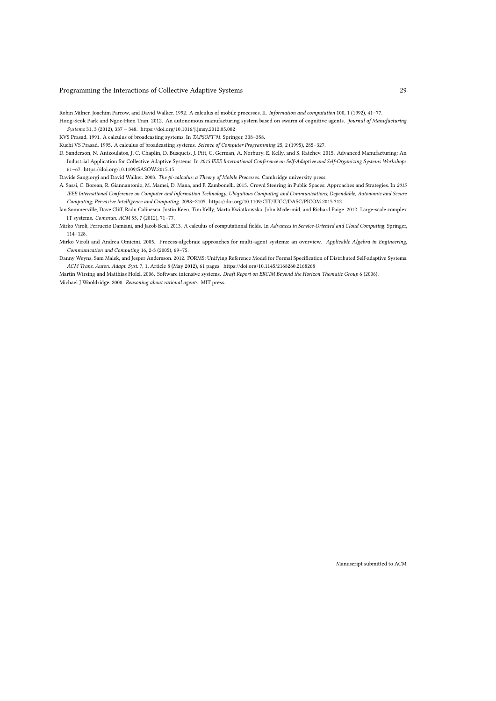Robin Milner, Joachim Parrow, and David Walker. 1992. A calculus of mobile processes, II. Information and computation 100, 1 (1992), 41–77.

Hong-Seok Park and Ngoc-Hien Tran. 2012. An autonomous manufacturing system based on swarm of cognitive agents. Journal of Manufacturing Systems 31, 3 (2012), 337 – 348. https://doi.org/10.1016/j.jmsy.2012.05.002

KVS Prasad. 1991. A calculus of broadcasting systems. In TAPSOFT'91. Springer, 338–358.

Kuchi VS Prasad. 1995. A calculus of broadcasting systems. Science of Computer Programming 25, 2 (1995), 285–327.

D. Sanderson, N. Antzoulatos, J. C. Chaplin, D. Busquets, J. Pitt, C. German, A. Norbury, E. Kelly, and S. Ratchev. 2015. Advanced Manufacturing: An Industrial Application for Collective Adaptive Systems. In 2015 IEEE International Conference on Self-Adaptive and Self-Organizing Systems Workshops. 61–67. https://doi.org/10.1109/SASOW.2015.15

Davide Sangiorgi and David Walker. 2003. The pi-calculus: a Theory of Mobile Processes. Cambridge university press.

- A. Sassi, C. Borean, R. Giannantonio, M. Mamei, D. Mana, and F. Zambonelli. 2015. Crowd Steering in Public Spaces: Approaches and Strategies. In 2015 IEEE International Conference on Computer and Information Technology; Ubiquitous Computing and Communications; Dependable, Autonomic and Secure Computing; Pervasive Intelligence and Computing. 2098–2105. https://doi.org/10.1109/CIT/IUCC/DASC/PICOM.2015.312
- Ian Sommerville, Dave Cliff, Radu Calinescu, Justin Keen, Tim Kelly, Marta Kwiatkowska, John Mcdermid, and Richard Paige. 2012. Large-scale complex IT systems. Commun. ACM 55, 7 (2012), 71–77.
- Mirko Viroli, Ferruccio Damiani, and Jacob Beal. 2013. A calculus of computational fields. In Advances in Service-Oriented and Cloud Computing. Springer, 114–128.
- Mirko Viroli and Andrea Omicini. 2005. Process-algebraic approaches for multi-agent systems: an overview. Applicable Algebra in Engineering, Communication and Computing 16, 2-3 (2005), 69–75.
- Danny Weyns, Sam Malek, and Jesper Andersson. 2012. FORMS: Unifying Reference Model for Formal Specification of Distributed Self-adaptive Systems. ACM Trans. Auton. Adapt. Syst. 7, 1, Article 8 (May 2012), 61 pages. https://doi.org/10.1145/2168260.2168268

Martin Wirsing and Matthias Holzl. 2006. Software intensive systems. Draft Report on ERCIM Beyond the Horizon Thematic Group 6 (2006). Michael J Wooldridge. 2000. Reasoning about rational agents. MIT press.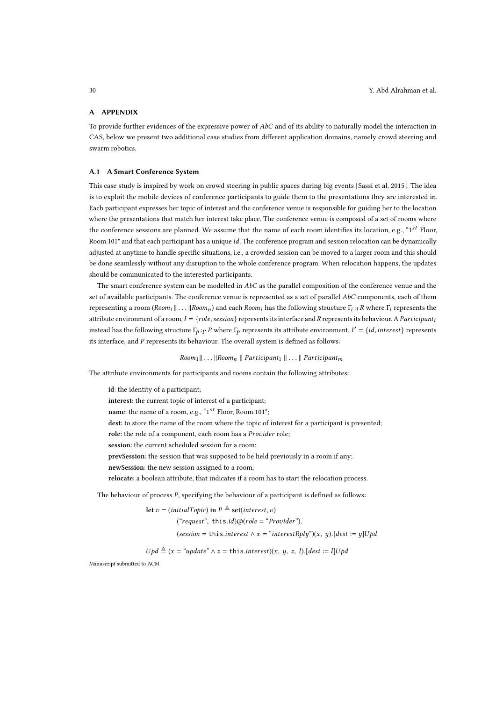## A APPENDIX

To provide further evidences of the expressive power of  $AbC$  and of its ability to naturally model the interaction in CAS, below we present two additional case studies from different application domains, namely crowd steering and swarm robotics.

#### A.1 A Smart Conference System

This case study is inspired by work on crowd steering in public spaces during big events [Sassi et al. 2015]. The idea is to exploit the mobile devices of conference participants to guide them to the presentations they are interested in. Each participant expresses her topic of interest and the conference venue is responsible for guiding her to the location where the presentations that match her interest take place. The conference venue is composed of a set of rooms where the conference sessions are planned. We assume that the name of each room identifies its location, e.g., " $1^{st}$  Floor, Room.101" and that each participant has a unique id. The conference program and session relocation can be dynamically adjusted at anytime to handle specific situations, i.e., a crowded session can be moved to a larger room and this should be done seamlessly without any disruption to the whole conference program. When relocation happens, the updates should be communicated to the interested participants.

The smart conference system can be modelled in  $AbC$  as the parallel composition of the conference venue and the set of available participants. The conference venue is represented as a set of parallel AbC components, each of them representing a room ( $Room_1 || \ldots || Room_n$ ) and each  $Room_i$  has the following structure  $\Gamma_i :_I R$  where  $\Gamma_i$  represents the attribute environment of a room,  $I = \{role, session\}$  represents its interface and R represents its behaviour. A Participant<sub>i</sub> instead has the following structure  $\Gamma_p$  : $_{I'}$   $P$  where  $\Gamma_p$  represents its attribute environment,  $I' = \{id, interest\}$  represents its interface, and P represents its behaviour. The overall system is defined as follows:

 $Room_1 || ... || Room_n || Partitionnt_1 || ... || Partitionnt_m$ 

The attribute environments for participants and rooms contain the following attributes:

id: the identity of a participant; interest: the current topic of interest of a participant; name: the name of a room, e.g., "1<sup>st</sup> Floor, Room.101"; dest: to store the name of the room where the topic of interest for a participant is presented; role: the role of a component, each room has a Provider role; session: the current scheduled session for a room; prevSession: the session that was supposed to be held previously in a room if any; newSession: the new session assigned to a room; relocate: a boolean attribute, that indicates if a room has to start the relocation process.

The behaviour of process P, specifying the behaviour of a participant is defined as follows:

let  $v = (initialTopic)$  in  $P \triangleq$  set(*interest*, *v*) ("request", this.id) $\omega$ (role = "Provider"). (session = this.interest  $\wedge x =$  "interest Rplu")(x, u). [dest := u]Upd

 $Upd \triangleq (x = "update" \land z = this.interest)(x, y, z, l).[dest := l]Upd$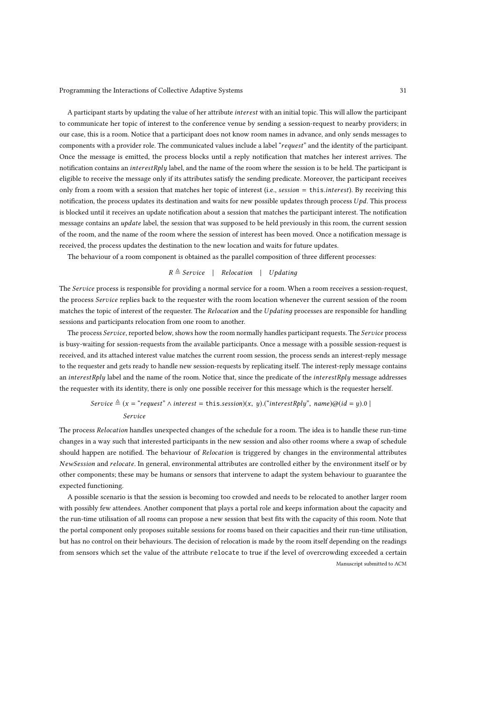A participant starts by updating the value of her attribute interest with an initial topic. This will allow the participant to communicate her topic of interest to the conference venue by sending a session-request to nearby providers; in our case, this is a room. Notice that a participant does not know room names in advance, and only sends messages to components with a provider role. The communicated values include a label "request" and the identity of the participant. Once the message is emitted, the process blocks until a reply notification that matches her interest arrives. The notification contains an interestRply label, and the name of the room where the session is to be held. The participant is eligible to receive the message only if its attributes satisfy the sending predicate. Moreover, the participant receives only from a room with a session that matches her topic of interest (i.e., session = this.interest). By receiving this notification, the process updates its destination and waits for new possible updates through process  $Upd$ . This process is blocked until it receives an update notification about a session that matches the participant interest. The notification message contains an *update* label, the session that was supposed to be held previously in this room, the current session of the room, and the name of the room where the session of interest has been moved. Once a notification message is received, the process updates the destination to the new location and waits for future updates.

The behaviour of a room component is obtained as the parallel composition of three different processes:

## $R \triangleq$  Service | Relocation | Updating

The Service process is responsible for providing a normal service for a room. When a room receives a session-request, the process Service replies back to the requester with the room location whenever the current session of the room matches the topic of interest of the requester. The Relocation and the Updating processes are responsible for handling sessions and participants relocation from one room to another.

The process Service, reported below, shows how the room normally handles participant requests. The Service process is busy-waiting for session-requests from the available participants. Once a message with a possible session-request is received, and its attached interest value matches the current room session, the process sends an interest-reply message to the requester and gets ready to handle new session-requests by replicating itself. The interest-reply message contains an interestRply label and the name of the room. Notice that, since the predicate of the interestRply message addresses the requester with its identity, there is only one possible receiver for this message which is the requester herself.

# Service  $\triangleq$  (x = "request"  $\wedge$  interest = this.session)(x, y).("interestRply", name)@(id = y).0 |

## Service

The process Relocation handles unexpected changes of the schedule for a room. The idea is to handle these run-time changes in a way such that interested participants in the new session and also other rooms where a swap of schedule should happen are notified. The behaviour of Relocation is triggered by changes in the environmental attributes NewSession and relocate. In general, environmental attributes are controlled either by the environment itself or by other components; these may be humans or sensors that intervene to adapt the system behaviour to guarantee the expected functioning.

A possible scenario is that the session is becoming too crowded and needs to be relocated to another larger room with possibly few attendees. Another component that plays a portal role and keeps information about the capacity and the run-time utilisation of all rooms can propose a new session that best fits with the capacity of this room. Note that the portal component only proposes suitable sessions for rooms based on their capacities and their run-time utilisation, but has no control on their behaviours. The decision of relocation is made by the room itself depending on the readings from sensors which set the value of the attribute relocate to true if the level of overcrowding exceeded a certain Manuscript submitted to ACM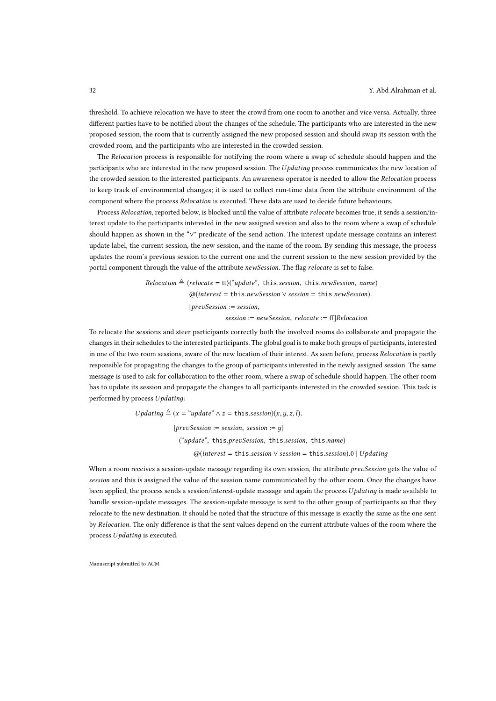threshold. To achieve relocation we have to steer the crowd from one room to another and vice versa. Actually, three different parties have to be notified about the changes of the schedule. The participants who are interested in the new proposed session, the room that is currently assigned the new proposed session and should swap its session with the crowded room, and the participants who are interested in the crowded session.

The Relocation process is responsible for notifying the room where a swap of schedule should happen and the participants who are interested in the new proposed session. The Updating process communicates the new location of the crowded session to the interested participants. An awareness operator is needed to allow the Relocation process to keep track of environmental changes; it is used to collect run-time data from the attribute environment of the component where the process Relocation is executed. These data are used to decide future behaviours.

Process Relocation, reported below, is blocked until the value of attribute relocate becomes true; it sends a session/interest update to the participants interested in the new assigned session and also to the room where a swap of schedule should happen as shown in the "∨" predicate of the send action. The interest update message contains an interest update label, the current session, the new session, and the name of the room. By sending this message, the process updates the room's previous session to the current one and the current session to the new session provided by the portal component through the value of the attribute newSession. The flag relocate is set to false.

> $Relocation \triangleq \langle$ relocate = tt $\rangle$ ("update", this.session, this.newSession, name) @(interest = this.newSession ∨ session = this.newSession).  $[prevSession := session]$  $session := newSession,$   $relocated := ff]Relocation$

To relocate the sessions and steer participants correctly both the involved rooms do collaborate and propagate the changes in their schedules to the interested participants. The global goal is to make both groups of participants, interested in one of the two room sessions, aware of the new location of their interest. As seen before, process Relocation is partly responsible for propagating the changes to the group of participants interested in the newly assigned session. The same message is used to ask for collaboration to the other room, where a swap of schedule should happen. The other room has to update its session and propagate the changes to all participants interested in the crowded session. This task is performed by process Updatinд:

> Updating  $\triangleq$  (x = "update"  $\wedge$  z = this.session)(x, y, z, l).  $[prevSession := session, session := y]$ ("update", this.prevSession, this.session, this.name)  $\omega$ (interest = this.session  $\vee$  session = this.session).0 | Updating

When a room receives a session-update message regarding its own session, the attribute prevSession gets the value of session and this is assigned the value of the session name communicated by the other room. Once the changes have been applied, the process sends a session/interest-update message and again the process Updating is made available to handle session-update messages. The session-update message is sent to the other group of participants so that they relocate to the new destination. It should be noted that the structure of this message is exactly the same as the one sent by Relocation. The only difference is that the sent values depend on the current attribute values of the room where the process Updatinд is executed.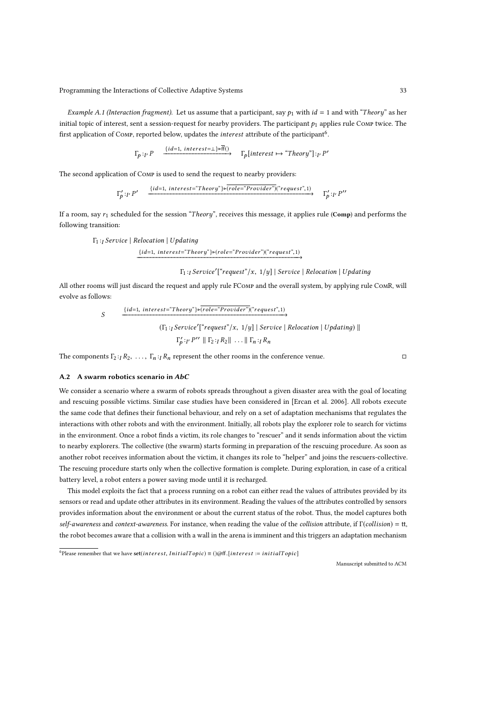Example A.1 (Interaction fragment). Let us assume that a participant, say  $p_1$  with  $id = 1$  and with "Theory" as her initial topic of interest, sent a session-request for nearby providers. The participant  $p_1$  applies rule Comp twice. The first application of Сомр, reported below, updates the *interest* attribute of the participant<sup>6</sup>.

$$
\Gamma_p:_{I'} P \xrightarrow{\{id=1, \text{ intersects} \tau = \bot\} \triangleright ff)} \Gamma_p[\text{interest} \mapsto \text{``Theory"}] :_{I'} P'
$$

The second application of Comp is used to send the request to nearby providers:

$$
\Gamma'_{p}:T' \text{ } P' \text{ } \xrightarrow{\{id=1, \text{ }intersect=\text{ }``Theory\} \triangleright \text{ } (role=\text{ }``Provider")("request",1)} \Gamma'_{p}:T' \text{ } P''
$$

If a room, say  $r_1$  scheduled for the session "Theory", receives this message, it applies rule (Comp) and performs the following transition:

$$
\Gamma_1:_{I} Service \mid \text{Relocation} \mid \text{Updateing}
$$
\n
$$
\xrightarrow{\{id=1, \text{ interest}=\text{`Theory}\}\triangleright (role=\text{`Provider'})\text{``request",1)}}
$$

## $\Gamma_{\!\!1}$  :<sub>I</sub> Service'("request"/x,  $\left. 1/y \right]$  | Service | Relocation | Updating

All other rooms will just discard the request and apply rule FComp and the overall system, by applying rule ComR, will evolve as follows:

$$
\xrightarrow{\{id=1, \text{ }interest = "Theory"\} \triangleright \overline{(role = "Provider")("request", 1)}
$$
\n
$$
\xrightarrow{\{\Gamma_1 : \text{ }Service'\{\text{ }``request"\}/x, \ 1/y \mid \text{ }Service \ | \ \text{ }Relocation \ | \ \text{ }Updateing \ \text{ }||\}}
$$
\n
$$
\Gamma'_p : \{r \in P'' \mid \text{ } \Gamma_2 : \text{ } R_2 \mid \text{ } \dots \mid \text{ } \Gamma_n : \text{ } R_n
$$

The components  $\Gamma_2:_{I} R_2, \ldots, \Gamma_n:_{I} R_n$  represent the other rooms in the conference venue. □

## A.2 A swarm robotics scenario in AbC

S

We consider a scenario where a swarm of robots spreads throughout a given disaster area with the goal of locating and rescuing possible victims. Similar case studies have been considered in [Ercan et al. 2006]. All robots execute the same code that defines their functional behaviour, and rely on a set of adaptation mechanisms that regulates the interactions with other robots and with the environment. Initially, all robots play the explorer role to search for victims in the environment. Once a robot finds a victim, its role changes to "rescuer" and it sends information about the victim to nearby explorers. The collective (the swarm) starts forming in preparation of the rescuing procedure. As soon as another robot receives information about the victim, it changes its role to "helper" and joins the rescuers-collective. The rescuing procedure starts only when the collective formation is complete. During exploration, in case of a critical battery level, a robot enters a power saving mode until it is recharged.

This model exploits the fact that a process running on a robot can either read the values of attributes provided by its sensors or read and update other attributes in its environment. Reading the values of the attributes controlled by sensors provides information about the environment or about the current status of the robot. Thus, the model captures both self-awareness and context-awareness. For instance, when reading the value of the collision attribute, if Γ(collision) = tt, the robot becomes aware that a collision with a wall in the arena is imminent and this triggers an adaptation mechanism

<sup>6</sup> Please remember that we have  $\text{set}(interest, InitialTopic) \equiv () @ff.[interest := initialTopic]$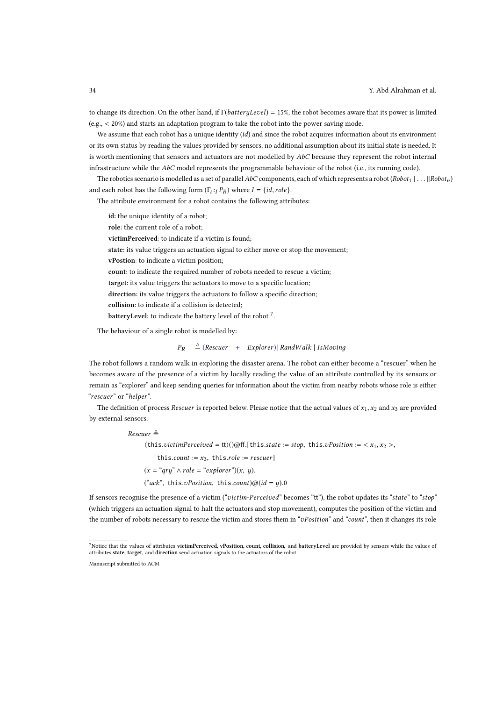to change its direction. On the other hand, if  $\Gamma(batteryLevel) = 15\%$ , the robot becomes aware that its power is limited (e.g., < 20%) and starts an adaptation program to take the robot into the power saving mode.

We assume that each robot has a unique identity  $(id)$  and since the robot acquires information about its environment or its own status by reading the values provided by sensors, no additional assumption about its initial state is needed. It is worth mentioning that sensors and actuators are not modelled by  $AbC$  because they represent the robot internal infrastructure while the  $AbC$  model represents the programmable behaviour of the robot (i.e., its running code).

The robotics scenario is modelled as a set of parallel AbC components, each of which represents a robot (Robot<sub>1</sub> || . . . ||Robot<sub>n</sub>) and each robot has the following form  $(\Gamma_i :_I P_R)$  where  $I = \{id, role\}.$ 

The attribute environment for a robot contains the following attributes:

id: the unique identity of a robot; role: the current role of a robot; victimPerceived: to indicate if a victim is found; state: its value triggers an actuation signal to either move or stop the movement; vPostion: to indicate a victim position; count: to indicate the required number of robots needed to rescue a victim; target: its value triggers the actuators to move to a specific location; direction: its value triggers the actuators to follow a specific direction; collision: to indicate if a collision is detected; batteryLevel: to indicate the battery level of the robot  $^7$ .

The behaviour of a single robot is modelled by:

#### $P_R \triangleq (Rescuer + Explorer)$  RandWalk | IsMoving

The robot follows a random walk in exploring the disaster arena. The robot can either become a "rescuer" when he becomes aware of the presence of a victim by locally reading the value of an attribute controlled by its sensors or remain as "explorer" and keep sending queries for information about the victim from nearby robots whose role is either "rescuer" or "helper".

The definition of process Rescuer is reported below. Please notice that the actual values of  $x_1, x_2$  and  $x_3$  are provided by external sensors.

> Rescuer ≜  $\langle \text{this.}victimPerceived = \text{tt}\rangle(\hat{\phi}ff. [\text{this.}state := stop, \text{this.}vPosition := \langle x_1, x_2 \rangle,$ this.count :=  $x_3$ , this.role := rescuer]  $(x = "qry" \land role = "explorer") (x, y).$ ("ack", this. $v$ Position, this.count) $@(id = y).0$

If sensors recognise the presence of a victim ("victim-Perceived" becomes "tt"), the robot updates its "state" to "stop" (which triggers an actuation signal to halt the actuators and stop movement), computes the position of the victim and the number of robots necessary to rescue the victim and stores them in "vPosition" and "count", then it changes its role

<sup>&</sup>lt;sup>7</sup>Notice that the values of attributes victimPerceived, vPosition, count, collision, and batteryLevel are provided by sensors while the values of attributes state, target, and direction send actuation signals to the actuators of the robot.

Manuscript submitted to ACM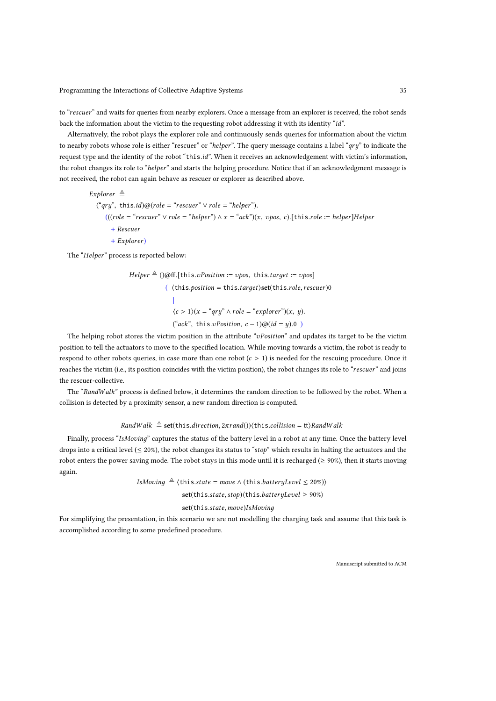to "rescuer" and waits for queries from nearby explorers. Once a message from an explorer is received, the robot sends back the information about the victim to the requesting robot addressing it with its identity "id".

Alternatively, the robot plays the explorer role and continuously sends queries for information about the victim to nearby robots whose role is either "rescuer" or "helper". The query message contains a label "qry" to indicate the request type and the identity of the robot "this.id". When it receives an acknowledgement with victim's information, the robot changes its role to "helper" and starts the helping procedure. Notice that if an acknowledgment message is not received, the robot can again behave as rescuer or explorer as described above.

 $Explore$ r ≜  $("qry", this.id)@(role = "rescuer" \lor role = "heller").$  $(((role = "rescuer" \vee role = "helper") \wedge x = "ack") (x, \text{ups}, c). [this. role := helper] Helper$ + Rescuer + Explorer)

The "Helper" process is reported below:

\n
$$
\text{Helper} \triangleq (\text{Qoff}.[\text{this}.vPosition := \text{vpos}, \text{this}.target := \text{vpos}]
$$
\n

\n\n ( (this.position = this.target)\setminus\text{set}(\text{this}.role, \text{resource}) 0\n

\n\n |  
\n  $\langle c > 1 \rangle (x = \text{``qry"} \land \text{role} = \text{``explorer"})(x, y).$ \n

\n\n ("ack", this.vPosition,  $c - 1) \text{@}(id = y).0$ \n

The helping robot stores the victim position in the attribute "vPosition" and updates its target to be the victim position to tell the actuators to move to the specified location. While moving towards a victim, the robot is ready to respond to other robots queries, in case more than one robot  $(c > 1)$  is needed for the rescuing procedure. Once it reaches the victim (i.e., its position coincides with the victim position), the robot changes its role to "rescuer" and joins the rescuer-collective.

The "RandWalk" process is defined below, it determines the random direction to be followed by the robot. When a collision is detected by a proximity sensor, a new random direction is computed.

## RandWalk  $\triangleq$  set(this.direction,  $2\pi$ rand()) $\langle$ this.collision = tt $\rangle$ RandWalk

Finally, process "IsMoving" captures the status of the battery level in a robot at any time. Once the battery level drops into a critical level ( $\leq 20\%$ ), the robot changes its status to "stop" which results in halting the actuators and the robot enters the power saving mode. The robot stays in this mode until it is recharged ( $\geq 90\%$ ), then it starts moving again.

IsMoving  $\triangleq$   $\langle$  this.state = move  $\land$  (this.batteryLevel  $\leq$  20%))

set(this.state,stop) $\langle$ this.batteryLevel  $\geq 90\%$ )

## set(this.state, move)IsMoving

For simplifying the presentation, in this scenario we are not modelling the charging task and assume that this task is accomplished according to some predefined procedure.